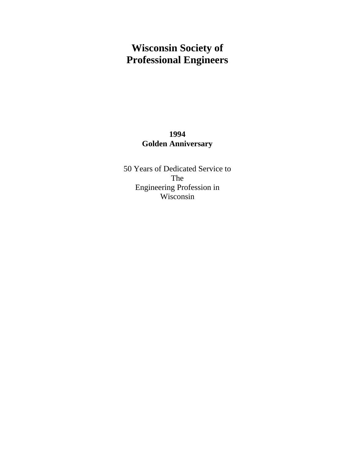# **Wisconsin Society of Professional Engineers**

### **1994 Golden Anniversary**

50 Years of Dedicated Service to The Engineering Profession in Wisconsin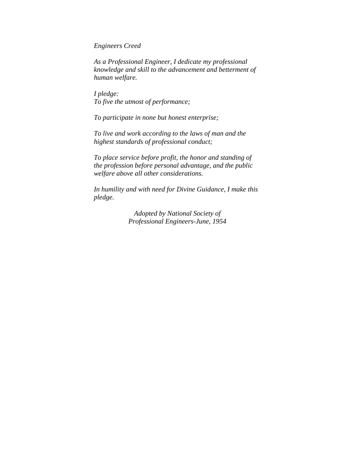*Engineers Creed* 

*As a Professional Engineer, I dedicate my professional knowledge and skill to the advancement and betterment of human welfare.* 

*I pledge: To five the utmost of performance;* 

*To participate in none but honest enterprise;* 

*To live and work according to the laws of man and the highest standards of professional conduct;* 

*To place service before profit, the honor and standing of the profession before personal advantage, and the public welfare above all other considerations.* 

*In humility and with need for Divine Guidance, I make this pledge.* 

> *Adopted by National Society of Professional Engineers-June, 1954*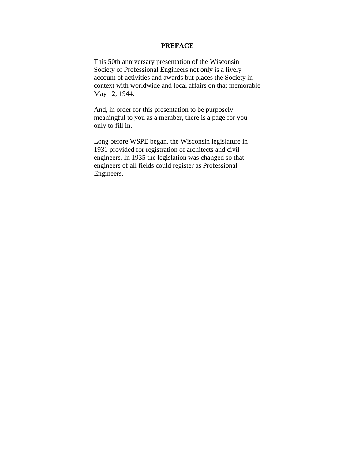#### **PREFACE**

This 50th anniversary presentation of the Wisconsin Society of Professional Engineers not only is a lively account of activities and awards but places the Society in context with worldwide and local affairs on that memorable May 12, 1944.

And, in order for this presentation to be purposely meaningful to you as a member, there is a page for you only to fill in.

Long before WSPE began, the Wisconsin legislature in 1931 provided for registration of architects and civil engineers. In 1935 the legislation was changed so that engineers of all fields could register as Professional Engineers.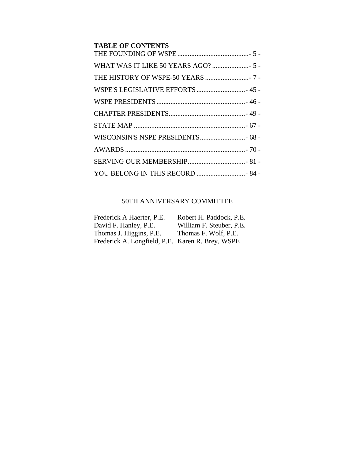| <b>TABLE OF CONTENTS</b>         |  |
|----------------------------------|--|
|                                  |  |
|                                  |  |
| WSPE'S LEGISLATIVE EFFORTS  45 - |  |
|                                  |  |
|                                  |  |
|                                  |  |
|                                  |  |
|                                  |  |
|                                  |  |
| YOU BELONG IN THIS RECORD  84 -  |  |

### 50TH ANNIVERSARY COMMITTEE

| Frederick A Haerter, P.E.                        | Robert H. Paddock, P.E.  |
|--------------------------------------------------|--------------------------|
| David F. Hanley, P.E.                            | William F. Steuber, P.E. |
| Thomas J. Higgins, P.E.                          | Thomas F. Wolf, P.E.     |
| Frederick A. Longfield, P.E. Karen R. Brey, WSPE |                          |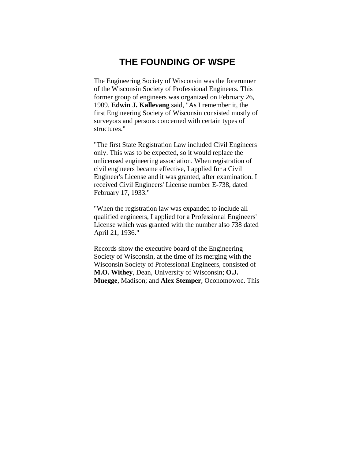### **THE FOUNDING OF WSPE**

The Engineering Society of Wisconsin was the forerunner of the Wisconsin Society of Professional Engineers. This former group of engineers was organized on February 26, 1909. **Edwin J. Kallevang** said, "As I remember it, the first Engineering Society of Wisconsin consisted mostly of surveyors and persons concerned with certain types of structures."

"The first State Registration Law included Civil Engineers only. This was to be expected, so it would replace the unlicensed engineering association. When registration of civil engineers became effective, I applied for a Civil Engineer's License and it was granted, after examination. I received Civil Engineers' License number E-738, dated February 17, 1933."

"When the registration law was expanded to include all qualified engineers, I applied for a Professional Engineers' License which was granted with the number also 738 dated April 21, 1936."

Records show the executive board of the Engineering Society of Wisconsin, at the time of its merging with the Wisconsin Society of Professional Engineers, consisted of **M.O. Withey**, Dean, University of Wisconsin; **O.J. Muegge**, Madison; and **Alex Stemper**, Oconomowoc. This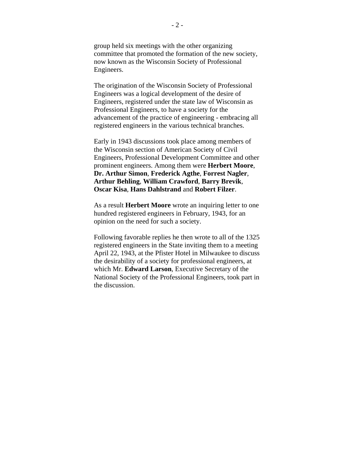group held six meetings with the other organizing committee that promoted the formation of the new society, now known as the Wisconsin Society of Professional Engineers.

The origination of the Wisconsin Society of Professional Engineers was a logical development of the desire of Engineers, registered under the state law of Wisconsin as Professional Engineers, to have a society for the advancement of the practice of engineering - embracing all registered engineers in the various technical branches.

Early in 1943 discussions took place among members of the Wisconsin section of American Society of Civil Engineers, Professional Development Committee and other prominent engineers. Among them were **Herbert Moore**, **Dr. Arthur Simon**, **Frederick Agthe**, **Forrest Nagler**, **Arthur Behling**, **William Crawford**, **Barry Brevik**, **Oscar Kisa**, **Hans Dahlstrand** and **Robert Filzer**.

As a result **Herbert Moore** wrote an inquiring letter to one hundred registered engineers in February, 1943, for an opinion on the need for such a society.

Following favorable replies he then wrote to all of the 1325 registered engineers in the State inviting them to a meeting April 22, 1943, at the Pfister Hotel in Milwaukee to discuss the desirability of a society for professional engineers, at which Mr. **Edward Larson**, Executive Secretary of the National Society of the Professional Engineers, took part in the discussion.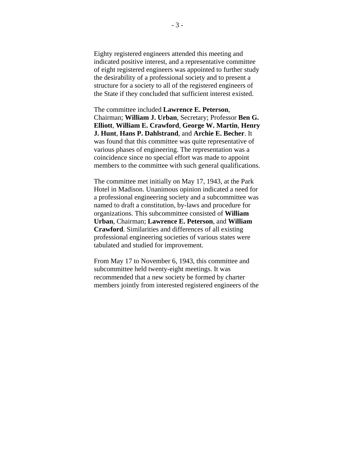Eighty registered engineers attended this meeting and indicated positive interest, and a representative committee of eight registered engineers was appointed to further study the desirability of a professional society and to present a structure for a society to all of the registered engineers of the State if they concluded that sufficient interest existed.

The committee included **Lawrence E. Peterson**, Chairman; **William J. Urban**, Secretary; Professor **Ben G. Elliott**, **William E. Crawford**, **George W. Martin**, **Henry J. Hunt**, **Hans P. Dahlstrand**, and **Archie E. Becher**. It was found that this committee was quite representative of various phases of engineering. The representation was a coincidence since no special effort was made to appoint members to the committee with such general qualifications.

The committee met initially on May 17, 1943, at the Park Hotel in Madison. Unanimous opinion indicated a need for a professional engineering society and a subcommittee was named to draft a constitution, by-laws and procedure for organizations. This subcommittee consisted of **William Urban**, Chairman; **Lawrence E. Peterson**, and **William Crawford**. Similarities and differences of all existing professional engineering societies of various states were tabulated and studied for improvement.

From May 17 to November 6, 1943, this committee and subcommittee held twenty-eight meetings. It was recommended that a new society be formed by charter members jointly from interested registered engineers of the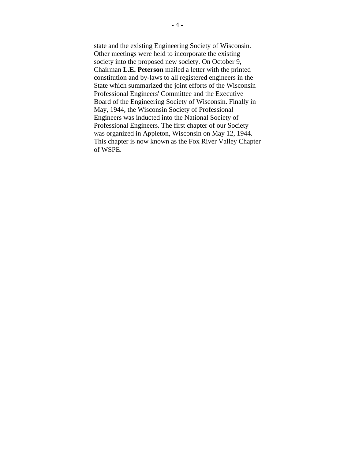state and the existing Engineering Society of Wisconsin. Other meetings were held to incorporate the existing society into the proposed new society. On October 9, Chairman **L.E. Peterson** mailed a letter with the printed constitution and by-laws to all registered engineers in the State which summarized the joint efforts of the Wisconsin Professional Engineers' Committee and the Executive Board of the Engineering Society of Wisconsin. Finally in May, 1944, the Wisconsin Society of Professional Engineers was inducted into the National Society of Professional Engineers. The first chapter of our Society was organized in Appleton, Wisconsin on May 12, 1944. This chapter is now known as the Fox River Valley Chapter of WSPE.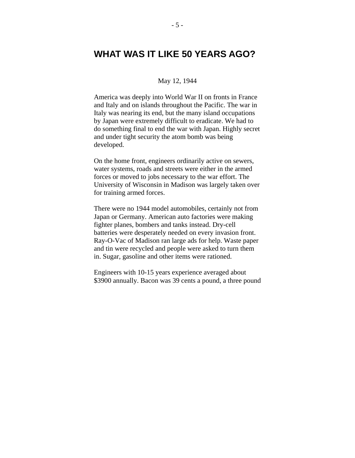## **WHAT WAS IT LIKE 50 YEARS AGO?**

#### May 12, 1944

America was deeply into World War II on fronts in France and Italy and on islands throughout the Pacific. The war in Italy was nearing its end, but the many island occupations by Japan were extremely difficult to eradicate. We had to do something final to end the war with Japan. Highly secret and under tight security the atom bomb was being developed.

On the home front, engineers ordinarily active on sewers, water systems, roads and streets were either in the armed forces or moved to jobs necessary to the war effort. The University of Wisconsin in Madison was largely taken over for training armed forces.

There were no 1944 model automobiles, certainly not from Japan or Germany. American auto factories were making fighter planes, bombers and tanks instead. Dry-cell batteries were desperately needed on every invasion front. Ray-O-Vac of Madison ran large ads for help. Waste paper and tin were recycled and people were asked to turn them in. Sugar, gasoline and other items were rationed.

Engineers with 10-15 years experience averaged about \$3900 annually. Bacon was 39 cents a pound, a three pound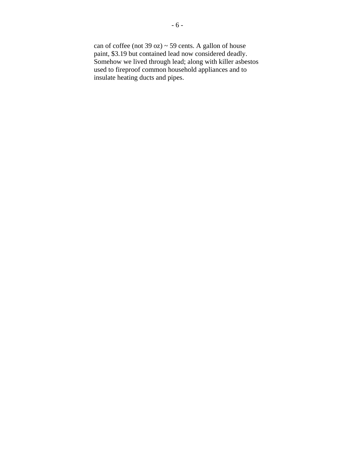can of coffee (not 39 oz)  $\sim$  59 cents. A gallon of house paint, \$3.19 but contained lead now considered deadly. Somehow we lived through lead; along with killer asbestos used to fireproof common household appliances and to insulate heating ducts and pipes.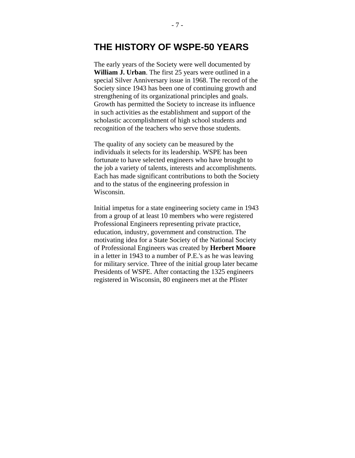### **THE HISTORY OF WSPE-50 YEARS**

The early years of the Society were well documented by **William J. Urban**. The first 25 years were outlined in a special Silver Anniversary issue in 1968. The record of the Society since 1943 has been one of continuing growth and strengthening of its organizational principles and goals. Growth has permitted the Society to increase its influence in such activities as the establishment and support of the scholastic accomplishment of high school students and recognition of the teachers who serve those students.

The quality of any society can be measured by the individuals it selects for its leadership. WSPE has been fortunate to have selected engineers who have brought to the job a variety of talents, interests and accomplishments. Each has made significant contributions to both the Society and to the status of the engineering profession in Wisconsin.

Initial impetus for a state engineering society came in 1943 from a group of at least 10 members who were registered Professional Engineers representing private practice, education, industry, government and construction. The motivating idea for a State Society of the National Society of Professional Engineers was created by **Herbert Moore** in a letter in 1943 to a number of P.E.'s as he was leaving for military service. Three of the initial group later became Presidents of WSPE. After contacting the 1325 engineers registered in Wisconsin, 80 engineers met at the Pfister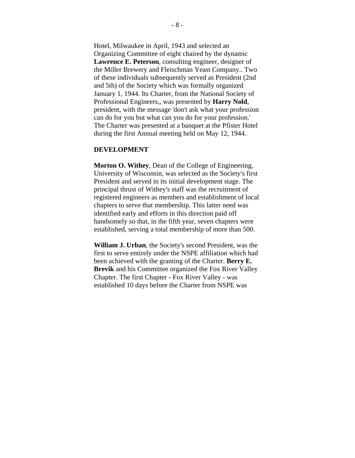Hotel, Milwaukee in April, 1943 and selected an Organizing Committee of eight chaired by the dynamic **Lawrence E. Peterson**, consulting engineer, designer of the Miller Brewery and Fleischman Yeast Company.. Two of these individuals subsequently served as President (2nd and 5th) of the Society which was formally organized January 1, 1944. Its Charter, from the National Society of Professional Engineers,, was presented by **Harry Nold**, president, with the message 'don't ask what your profession can do for you but what can you do for your profession.' The Charter was presented at a banquet at the Pfister Hotel during the first Annual meeting held on May 12, 1944.

#### **DEVELOPMENT**

**Morton O. Withey**, Dean of the College of Engineering, University of Wisconsin, was selected as the Society's first President and served in its initial development stage. The principal thrust of Withey's staff was the recruitment of registered engineers as members and establishment of local chapters to serve that membership. This latter need was identified early and efforts in this direction paid off handsomely so that, in the fifth year, seven chapters were established, serving a total membership of more than 500.

**William J. Urban**, the Society's second President, was the first to serve entirely under the NSPE affiliation which had been achieved with the granting of the Charter. **Berry E. Brevik** and his Committee organized the Fox River Valley Chapter. The first Chapter - Fox River Valley - was established 10 days before the Charter from NSPE was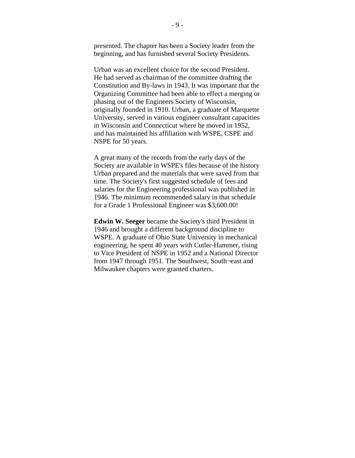presented. The chapter has been a Society leader from the beginning, and has furnished several Society Presidents.

Urban was an excellent choice for the second President. He had served as chairman of the committee drafting the Constitution and By-laws in 1943. It was important that the Organizing Committee had been able to effect a merging or phasing out of the Engineers Society of Wisconsin, originally founded in 1910. Urban, a graduate of Marquette University, served in various engineer consultant capacities in Wisconsin and Connecticut where he moved in 1952, and has maintained his affiliation with WSPE, CSPE and NSPE for 50 years.

A great many of the records from the early days of the Society are available in WSPE's files because of the history Urban prepared and the materials that were saved from that time. The Society's first suggested schedule of fees and salaries for the Engineering professional was published in 1946. The minimum recommended salary in that schedule for a Grade 1 Professional Engineer was \$3,600.00!

**Edwin W. Seeger** became the Society's third President in 1946 and brought a different background discipline to WSPE. A graduate of Ohio State University in mechanical engineering, he spent 40 years with Cutler-Hammer, rising to Vice President of NSPE in 1952 and a National Director from 1947 through 1951. The Southwest, South¬east and Milwaukee chapters were granted charters.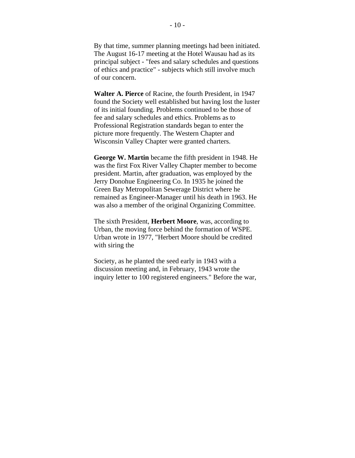By that time, summer planning meetings had been initiated. The August 16-17 meeting at the Hotel Wausau had as its principal subject - "fees and salary schedules and questions of ethics and practice" - subjects which still involve much of our concern.

**Walter A. Pierce** of Racine, the fourth President, in 1947 found the Society well established but having lost the luster of its initial founding. Problems continued to be those of fee and salary schedules and ethics. Problems as to Professional Registration standards began to enter the picture more frequently. The Western Chapter and Wisconsin Valley Chapter were granted charters.

**George W. Martin** became the fifth president in 1948. He was the first Fox River Valley Chapter member to become president. Martin, after graduation, was employed by the Jerry Donohue Engineering Co. In 1935 he joined the Green Bay Metropolitan Sewerage District where he remained as Engineer-Manager until his death in 1963. He was also a member of the original Organizing Committee.

The sixth President, **Herbert Moore**, was, according to Urban, the moving force behind the formation of WSPE. Urban wrote in 1977, "Herbert Moore should be credited with siring the

Society, as he planted the seed early in 1943 with a discussion meeting and, in February, 1943 wrote the inquiry letter to 100 registered engineers." Before the war,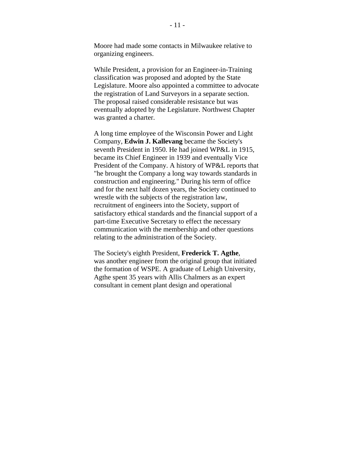Moore had made some contacts in Milwaukee relative to organizing engineers.

While President, a provision for an Engineer-in-Training classification was proposed and adopted by the State Legislature. Moore also appointed a committee to advocate the registration of Land Surveyors in a separate section. The proposal raised considerable resistance but was eventually adopted by the Legislature. Northwest Chapter was granted a charter.

A long time employee of the Wisconsin Power and Light Company, **Edwin J. Kallevang** became the Society's seventh President in 1950. He had joined WP&L in 1915, became its Chief Engineer in 1939 and eventually Vice President of the Company. A history of WP&L reports that "he brought the Company a long way towards standards in construction and engineering." During his term of office and for the next half dozen years, the Society continued to wrestle with the subjects of the registration law, recruitment of engineers into the Society, support of satisfactory ethical standards and the financial support of a part-time Executive Secretary to effect the necessary communication with the membership and other questions relating to the administration of the Society.

The Society's eighth President, **Frederick T. Agthe**, was another engineer from the original group that initiated the formation of WSPE. A graduate of Lehigh University, Agthe spent 35 years with Allis Chalmers as an expert consultant in cement plant design and operational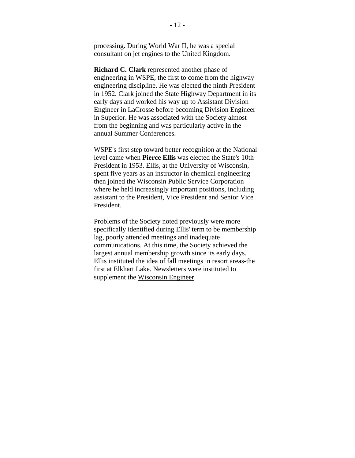processing. During World War II, he was a special consultant on jet engines to the United Kingdom.

**Richard C. Clark** represented another phase of engineering in WSPE, the first to come from the highway engineering discipline. He was elected the ninth President in 1952. Clark joined the State Highway Department in its early days and worked his way up to Assistant Division Engineer in LaCrosse before becoming Division Engineer in Superior. He was associated with the Society almost from the beginning and was particularly active in the annual Summer Conferences.

WSPE's first step toward better recognition at the National level came when **Pierce Ellis** was elected the State's 10th President in 1953. Ellis, at the University of Wisconsin, spent five years as an instructor in chemical engineering then joined the Wisconsin Public Service Corporation where he held increasingly important positions, including assistant to the President, Vice President and Senior Vice President.

Problems of the Society noted previously were more specifically identified during Ellis' term to be membership lag, poorly attended meetings and inadequate communications. At this time, the Society achieved the largest annual membership growth since its early days. Ellis instituted the idea of fall meetings in resort areas-the first at Elkhart Lake. Newsletters were instituted to supplement the Wisconsin Engineer.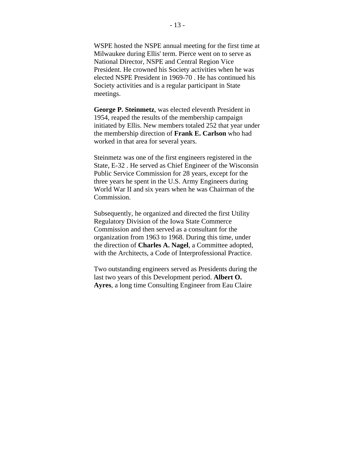WSPE hosted the NSPE annual meeting for the first time at Milwaukee during Ellis' term. Pierce went on to serve as National Director, NSPE and Central Region Vice President. He crowned his Society activities when he was elected NSPE President in 1969-70 . He has continued his Society activities and is a regular participant in State meetings.

**George P. Steinmetz**, was elected eleventh President in 1954, reaped the results of the membership campaign initiated by Ellis. New members totaled 252 that year under the membership direction of **Frank E. Carlson** who had worked in that area for several years.

Steinmetz was one of the first engineers registered in the State, E-32 . He served as Chief Engineer of the Wisconsin Public Service Commission for 28 years, except for the three years he spent in the U.S. Army Engineers during World War II and six years when he was Chairman of the Commission.

Subsequently, he organized and directed the first Utility Regulatory Division of the Iowa State Commerce Commission and then served as a consultant for the organization from 1963 to 1968. During this time, under the direction of **Charles A. Nagel**, a Committee adopted, with the Architects, a Code of Interprofessional Practice.

Two outstanding engineers served as Presidents during the last two years of this Development period. **Albert O. Ayres**, a long time Consulting Engineer from Eau Claire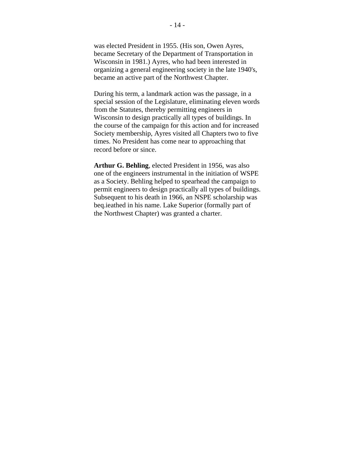was elected President in 1955. (His son, Owen Ayres, became Secretary of the Department of Transportation in Wisconsin in 1981.) Ayres, who had been interested in organizing a general engineering society in the late 1940's, became an active part of the Northwest Chapter.

During his term, a landmark action was the passage, in a special session of the Legislature, eliminating eleven words from the Statutes, thereby permitting engineers in Wisconsin to design practically all types of buildings. In the course of the campaign for this action and for increased Society membership, Ayres visited all Chapters two to five times. No President has come near to approaching that record before or since.

**Arthur G. Behling**, elected President in 1956, was also one of the engineers instrumental in the initiation of WSPE as a Society. Behling helped to spearhead the campaign to permit engineers to design practically all types of buildings. Subsequent to his death in 1966, an NSPE scholarship was beq.ieathed in his name. Lake Superior (formally part of the Northwest Chapter) was granted a charter.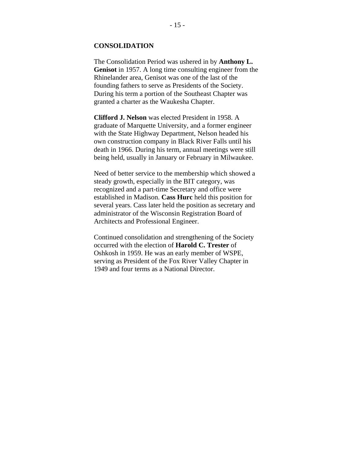#### **CONSOLIDATION**

The Consolidation Period was ushered in by **Anthony L. Genisot** in 1957. A long time consulting engineer from the Rhinelander area, Genisot was one of the last of the founding fathers to serve as Presidents of the Society. During his term a portion of the Southeast Chapter was granted a charter as the Waukesha Chapter.

**Clifford J. Nelson** was elected President in 1958. A graduate of Marquette University, and a former engineer with the State Highway Department, Nelson headed his own construction company in Black River Falls until his death in 1966. During his term, annual meetings were still being held, usually in January or February in Milwaukee.

Need of better service to the membership which showed a steady growth, especially in the BIT category, was recognized and a part-time Secretary and office were established in Madison. **Cass Hurc** held this position for several years. Cass later held the position as secretary and administrator of the Wisconsin Registration Board of Architects and Professional Engineer.

Continued consolidation and strengthening of the Society occurred with the election of **Harold C. Trester** of Oshkosh in 1959. He was an early member of WSPE, serving as President of the Fox River Valley Chapter in 1949 and four terms as a National Director.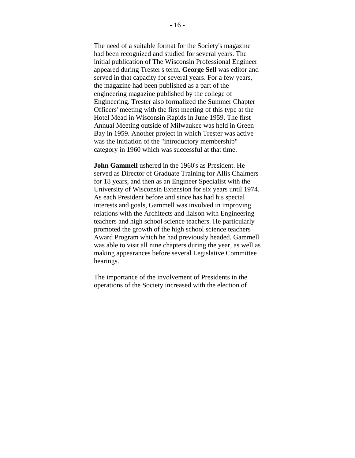The need of a suitable format for the Society's magazine had been recognized and studied for several years. The initial publication of The Wisconsin Professional Engineer appeared during Trester's term. **George Sell** was editor and served in that capacity for several years. For a few years, the magazine had been published as a part of the engineering magazine published by the college of Engineering. Trester also formalized the Summer Chapter Officers' meeting with the first meeting of this type at the Hotel Mead in Wisconsin Rapids in June 1959. The first Annual Meeting outside of Milwaukee was held in Green Bay in 1959. Another project in which Trester was active was the initiation of the "introductory membership" category in 1960 which was successful at that time.

**John Gammell** ushered in the 1960's as President. He served as Director of Graduate Training for Allis Chalmers for 18 years, and then as an Engineer Specialist with the University of Wisconsin Extension for six years until 1974. As each President before and since has had his special interests and goals, Gammell was involved in improving relations with the Architects and liaison with Engineering teachers and high school science teachers. He particularly promoted the growth of the high school science teachers Award Program which he had previously headed. Gammell was able to visit all nine chapters during the year, as well as making appearances before several Legislative Committee hearings.

The importance of the involvement of Presidents in the operations of the Society increased with the election of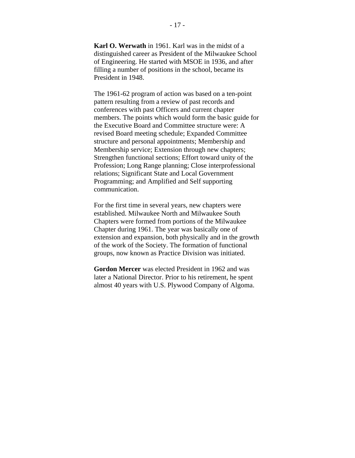**Karl O. Werwath** in 1961. Karl was in the midst of a distinguished career as President of the Milwaukee School of Engineering. He started with MSOE in 1936, and after filling a number of positions in the school, became its President in 1948.

The 1961-62 program of action was based on a ten-point pattern resulting from a review of past records and conferences with past Officers and current chapter members. The points which would form the basic guide for the Executive Board and Committee structure were: A revised Board meeting schedule; Expanded Committee structure and personal appointments; Membership and Membership service; Extension through new chapters; Strengthen functional sections; Effort toward unity of the Profession; Long Range planning; Close interprofessional relations; Significant State and Local Government Programming; and Amplified and Self supporting communication.

For the first time in several years, new chapters were established. Milwaukee North and Milwaukee South Chapters were formed from portions of the Milwaukee Chapter during 1961. The year was basically one of extension and expansion, both physically and in the growth of the work of the Society. The formation of functional groups, now known as Practice Division was initiated.

**Gordon Mercer** was elected President in 1962 and was later a National Director. Prior to his retirement, he spent almost 40 years with U.S. Plywood Company of Algoma.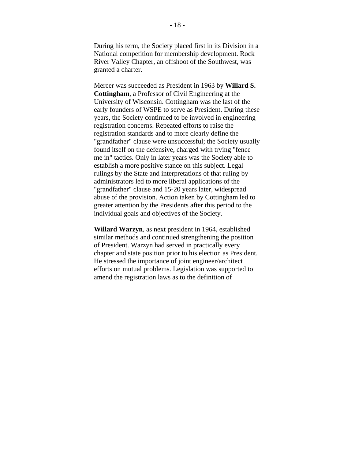During his term, the Society placed first in its Division in a National competition for membership development. Rock River Valley Chapter, an offshoot of the Southwest, was granted a charter.

Mercer was succeeded as President in 1963 by **Willard S. Cottingham**, a Professor of Civil Engineering at the University of Wisconsin. Cottingham was the last of the early founders of WSPE to serve as President. During these years, the Society continued to be involved in engineering registration concerns. Repeated efforts to raise the registration standards and to more clearly define the "grandfather" clause were unsuccessful; the Society usually found itself on the defensive, charged with trying "fence me in" tactics. Only in later years was the Society able to establish a more positive stance on this subject. Legal rulings by the State and interpretations of that ruling by administrators led to more liberal applications of the "grandfather" clause and 15-20 years later, widespread abuse of the provision. Action taken by Cottingham led to greater attention by the Presidents after this period to the individual goals and objectives of the Society.

**Willard Warzyn**, as next president in 1964, established similar methods and continued strengthening the position of President. Warzyn had served in practically every chapter and state position prior to his election as President. He stressed the importance of joint engineer/architect efforts on mutual problems. Legislation was supported to amend the registration laws as to the definition of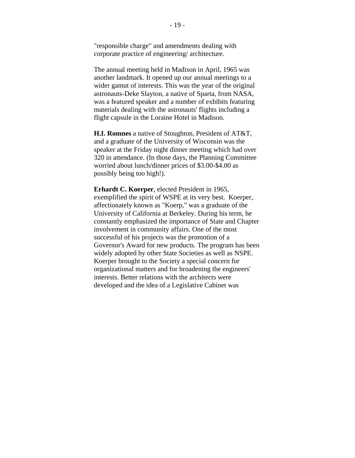"responsible charge" and amendments dealing with corporate practice of engineering/ architecture.

The annual meeting held in Madison in April, 1965 was another landmark. It opened up our annual meetings to a wider gamut of interests. This was the year of the original astronauts-Deke Slayton, a native of Sparta, from NASA, was a featured speaker and a number of exhibits featuring materials dealing with the astronauts' flights including a flight capsule in the Loraine Hotel in Madison.

**H.I. Romnes** a native of Stoughton, President of AT&T, and a graduate of the University of Wisconsin was the speaker at the Friday night dinner meeting which had over 320 in attendance. (In those days, the Planning Committee worried about lunch/dinner prices of \$3.00-\$4.00 as possibly being too high!).

**Erhardt C. Koerper**, elected President in 1965, exemplified the spirit of WSPE at its very best. Koerper, affectionately known as "Koerp," was a graduate of the University of California at Berkeley. During his term, he constantly emphasized the importance of State and Chapter involvement in community affairs. One of the most successful of his projects was the promotion of a Governor's Award for new products. The program has been widely adopted by other State Societies as well as NSPE. Koerper brought to the Society a special concern for organizational matters and for broadening the engineers' interests. Better relations with the architects were developed and the idea of a Legislative Cabinet was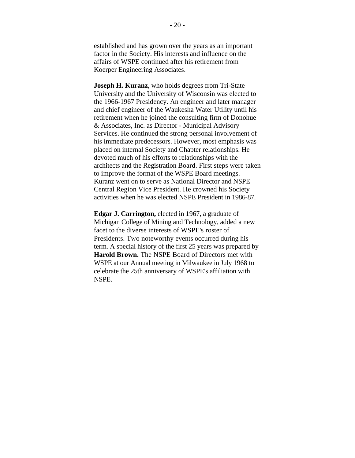established and has grown over the years as an important factor in the Society. His interests and influence on the affairs of WSPE continued after his retirement from Koerper Engineering Associates.

**Joseph H. Kuranz**, who holds degrees from Tri-State University and the University of Wisconsin was elected to the 1966-1967 Presidency. An engineer and later manager and chief engineer of the Waukesha Water Utility until his retirement when he joined the consulting firm of Donohue & Associates, Inc. as Director - Municipal Advisory Services. He continued the strong personal involvement of his immediate predecessors. However, most emphasis was placed on internal Society and Chapter relationships. He devoted much of his efforts to relationships with the architects and the Registration Board. First steps were taken to improve the format of the WSPE Board meetings. Kuranz went on to serve as National Director and NSPE Central Region Vice President. He crowned his Society activities when he was elected NSPE President in 1986-87.

**Edgar J. Carrington,** elected in 1967, a graduate of Michigan College of Mining and Technology, added a new facet to the diverse interests of WSPE's roster of Presidents. Two noteworthy events occurred during his term. A special history of the first 25 years was prepared by **Harold Brown.** The NSPE Board of Directors met with WSPE at our Annual meeting in Milwaukee in July 1968 to celebrate the 25th anniversary of WSPE's affiliation with NSPE.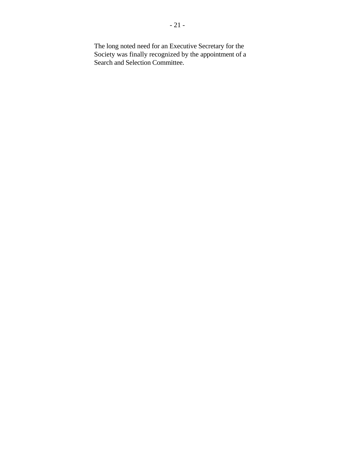The long noted need for an Executive Secretary for the Society was finally recognized by the appointment of a Search and Selection Committee.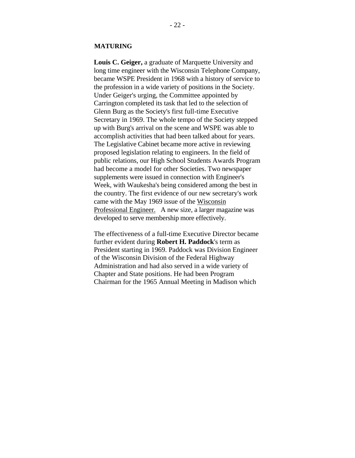#### **MATURING**

**Louis C. Geiger,** a graduate of Marquette University and long time engineer with the Wisconsin Telephone Company, became WSPE President in 1968 with a history of service to the profession in a wide variety of positions in the Society. Under Geiger's urging, the Committee appointed by Carrington completed its task that led to the selection of Glenn Burg as the Society's first full-time Executive Secretary in 1969. The whole tempo of the Society stepped up with Burg's arrival on the scene and WSPE was able to accomplish activities that had been talked about for years. The Legislative Cabinet became more active in reviewing proposed legislation relating to engineers. In the field of public relations, our High School Students Awards Program had become a model for other Societies. Two newspaper supplements were issued in connection with Engineer's Week, with Waukesha's being considered among the best in the country. The first evidence of our new secretary's work came with the May 1969 issue of the Wisconsin Professional Engineer. A new size, a larger magazine was developed to serve membership more effectively.

The effectiveness of a full-time Executive Director became further evident during **Robert H. Paddock**'s term as President starting in 1969. Paddock was Division Engineer of the Wisconsin Division of the Federal Highway Administration and had also served in a wide variety of Chapter and State positions. He had been Program Chairman for the 1965 Annual Meeting in Madison which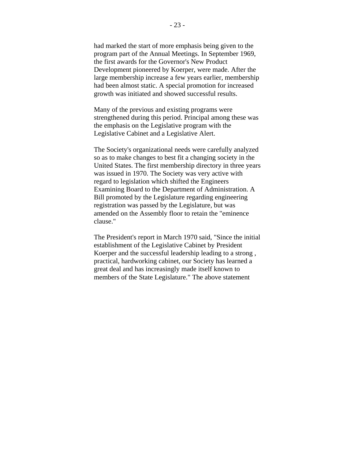had marked the start of more emphasis being given to the program part of the Annual Meetings. In September 1969, the first awards for the Governor's New Product Development pioneered by Koerper, were made. After the large membership increase a few years earlier, membership had been almost static. A special promotion for increased growth was initiated and showed successful results.

Many of the previous and existing programs were strengthened during this period. Principal among these was the emphasis on the Legislative program with the Legislative Cabinet and a Legislative Alert.

The Society's organizational needs were carefully analyzed so as to make changes to best fit a changing society in the United States. The first membership directory in three years was issued in 1970. The Society was very active with regard to legislation which shifted the Engineers Examining Board to the Department of Administration. A Bill promoted by the Legislature regarding engineering registration was passed by the Legislature, but was amended on the Assembly floor to retain the "eminence clause."

The President's report in March 1970 said, "Since the initial establishment of the Legislative Cabinet by President Koerper and the successful leadership leading to a strong , practical, hardworking cabinet, our Society has learned a great deal and has increasingly made itself known to members of the State Legislature." The above statement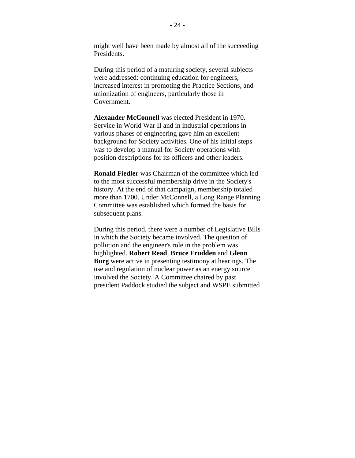might well have been made by almost all of the succeeding Presidents.

During this period of a maturing society, several subjects were addressed: continuing education for engineers, increased interest in promoting the Practice Sections, and unionization of engineers, particularly those in Government.

**Alexander McConnell** was elected President in 1970. Service in World War II and in industrial operations in various phases of engineering gave him an excellent background for Society activities. One of his initial steps was to develop a manual for Society operations with position descriptions for its officers and other leaders.

**Ronald Fiedler** was Chairman of the committee which led to the most successful membership drive in the Society's history. At the end of that campaign, membership totaled more than 1700. Under McConnell, a Long Range Planning Committee was established which formed the basis for subsequent plans.

During this period, there were a number of Legislative Bills in which the Society became involved. The question of pollution and the engineer's role in the problem was highlighted. **Robert Read**, **Bruce Frudden** and **Glenn Burg** were active in presenting testimony at hearings. The use and regulation of nuclear power as an energy source involved the Society. A Committee chaired by past president Paddock studied the subject and WSPE submitted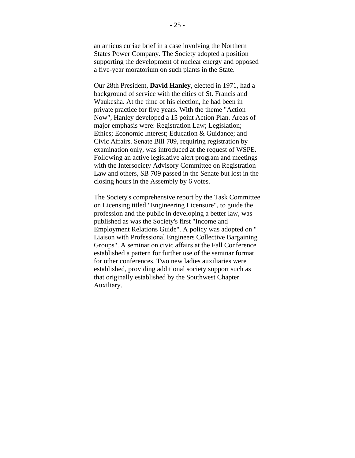an amicus curiae brief in a case involving the Northern States Power Company. The Society adopted a position supporting the development of nuclear energy and opposed a five-year moratorium on such plants in the State.

Our 28th President, **David Hanley**, elected in 1971, had a background of service with the cities of St. Francis and Waukesha. At the time of his election, he had been in private practice for five years. With the theme "Action Now", Hanley developed a 15 point Action Plan. Areas of major emphasis were: Registration Law; Legislation; Ethics; Economic Interest; Education & Guidance; and Civic Affairs. Senate Bill 709, requiring registration by examination only, was introduced at the request of WSPE. Following an active legislative alert program and meetings with the Intersociety Advisory Committee on Registration Law and others, SB 709 passed in the Senate but lost in the closing hours in the Assembly by 6 votes.

The Society's comprehensive report by the Task Committee on Licensing titled "Engineering Licensure", to guide the profession and the public in developing a better law, was published as was the Society's first "Income and Employment Relations Guide". A policy was adopted on " Liaison with Professional Engineers Collective Bargaining Groups". A seminar on civic affairs at the Fall Conference established a pattern for further use of the seminar format for other conferences. Two new ladies auxiliaries were established, providing additional society support such as that originally established by the Southwest Chapter Auxiliary.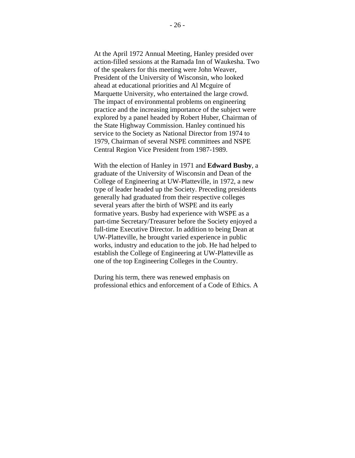At the April 1972 Annual Meeting, Hanley presided over action-filled sessions at the Ramada Inn of Waukesha. Two of the speakers for this meeting were John Weaver, President of the University of Wisconsin, who looked ahead at educational priorities and Al Mcguire of Marquette University, who entertained the large crowd. The impact of environmental problems on engineering practice and the increasing importance of the subject were explored by a panel headed by Robert Huber, Chairman of the State Highway Commission. Hanley continued his service to the Society as National Director from 1974 to 1979, Chairman of several NSPE committees and NSPE Central Region Vice President from 1987-1989.

With the election of Hanley in 1971 and **Edward Busby**, a graduate of the University of Wisconsin and Dean of the College of Engineering at UW-Platteville, in 1972, a new type of leader headed up the Society. Preceding presidents generally had graduated from their respective colleges several years after the birth of WSPE and its early formative years. Busby had experience with WSPE as a part-time Secretary/Treasurer before the Society enjoyed a full-time Executive Director. In addition to being Dean at UW-Platteville, he brought varied experience in public works, industry and education to the job. He had helped to establish the College of Engineering at UW-Platteville as one of the top Engineering Colleges in the Country.

During his term, there was renewed emphasis on professional ethics and enforcement of a Code of Ethics. A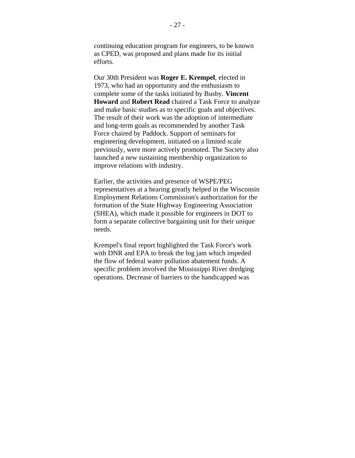continuing education program for engineers, to be known as CPED, was proposed and plans made for its initial efforts.

Our 30th President was **Roger E. Krempel**, elected in 1973, who had an opportunity and the enthusiasm to complete some of the tasks initiated by Busby. **Vincent Howard** and **Robert Read** chaired a Task Force to analyze and make basic studies as to specific goals and objectives. The result of their work was the adoption of intermediate and long-term goals as recommended by another Task Force chaired by Paddock. Support of seminars for engineering development, initiated on a limited scale previously, were more actively promoted. The Society also launched a new sustaining membership organization to improve relations with industry.

Earlier, the activities and presence of WSPE/PEG representatives at a hearing greatly helped in the Wisconsin Employment Relations Commission's authorization for the formation of the State Highway Engineering Association (SHEA), which made it possible for engineers in DOT to form a separate collective bargaining unit for their unique needs.

Krempel's final report highlighted the Task Force's work with DNR and EPA to break the log jam which impeded the flow of federal water pollution abatement funds. A specific problem involved the Mississippi River dredging operations. Decrease of barriers to the handicapped was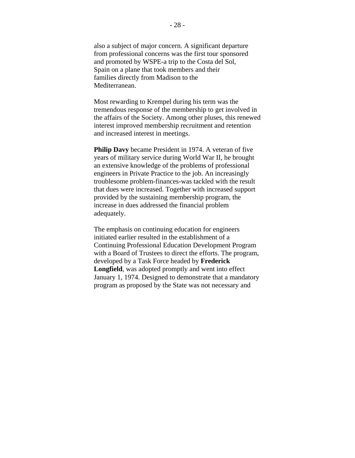also a subject of major concern. A significant departure from professional concerns was the first tour sponsored and promoted by WSPE-a trip to the Costa del Sol, Spain on a plane that took members and their families directly from Madison to the Mediterranean.

Most rewarding to Krempel during his term was the tremendous response of the membership to get involved in the affairs of the Society. Among other pluses, this renewed interest improved membership recruitment and retention and increased interest in meetings.

**Philip Davy** became President in 1974. A veteran of five years of military service during World War II, he brought an extensive knowledge of the problems of professional engineers in Private Practice to the job. An increasingly troublesome problem-finances-was tackled with the result that dues were increased. Together with increased support provided by the sustaining membership program, the increase in dues addressed the financial problem adequately.

The emphasis on continuing education for engineers initiated earlier resulted in the establishment of a Continuing Professional Education Development Program with a Board of Trustees to direct the efforts. The program, developed by a Task Force headed by **Frederick Longfield**, was adopted promptly and went into effect January 1, 1974. Designed to demonstrate that a mandatory program as proposed by the State was not necessary and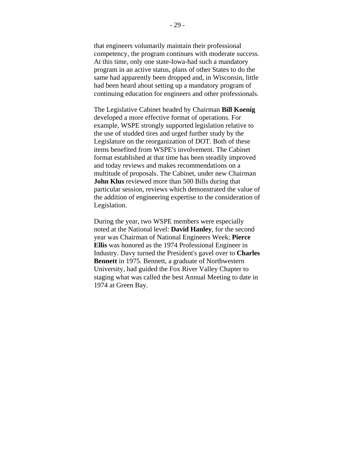that engineers voluntarily maintain their professional competency, the program continues with moderate success. At this time, only one state-Iowa-had such a mandatory program in an active status, plans of other States to do the same had apparently been dropped and, in Wisconsin, little had been heard about setting up a mandatory program of continuing education for engineers and other professionals.

The Legislative Cabinet headed by Chairman **Bill Koenig** developed a more effective format of operations. For example, WSPE strongly supported legislation relative to the use of studded tires and urged further study by the Legislature on the reorganization of DOT. Both of these items benefited from WSPE's involvement. The Cabinet format established at that time has been steadily improved and today reviews and makes recommendations on a multitude of proposals. The Cabinet, under new Chairman **John Klus** reviewed more than 500 Bills during that particular session, reviews which demonstrated the value of the addition of engineering expertise to the consideration of Legislation.

During the year, two WSPE members were especially noted at the National level: **David Hanley**, for the second year was Chairman of National Engineers Week; **Pierce Ellis** was honored as the 1974 Professional Engineer in Industry. Davy turned the President's gavel over to **Charles Bennett** in 1975. Bennett, a graduate of Northwestern University, had guided the Fox River Valley Chapter to staging what was called the best Annual Meeting to date in 1974 at Green Bay.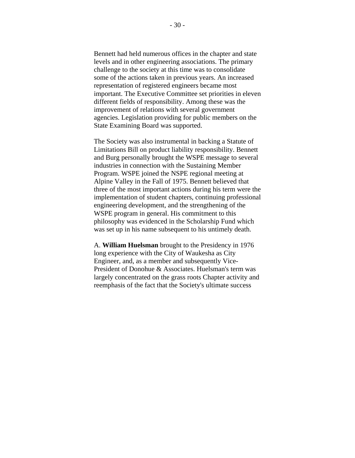Bennett had held numerous offices in the chapter and state levels and in other engineering associations. The primary challenge to the society at this time was to consolidate some of the actions taken in previous years. An increased representation of registered engineers became most important. The Executive Committee set priorities in eleven different fields of responsibility. Among these was the improvement of relations with several government agencies. Legislation providing for public members on the State Examining Board was supported.

The Society was also instrumental in backing a Statute of Limitations Bill on product liability responsibility. Bennett and Burg personally brought the WSPE message to several industries in connection with the Sustaining Member Program. WSPE joined the NSPE regional meeting at Alpine Valley in the Fall of 1975. Bennett believed that three of the most important actions during his term were the implementation of student chapters, continuing professional engineering development, and the strengthening of the WSPE program in general. His commitment to this philosophy was evidenced in the Scholarship Fund which was set up in his name subsequent to his untimely death.

A. **William Huelsman** brought to the Presidency in 1976 long experience with the City of Waukesha as City Engineer, and, as a member and subsequently Vice-President of Donohue & Associates. Huelsman's term was largely concentrated on the grass roots Chapter activity and reemphasis of the fact that the Society's ultimate success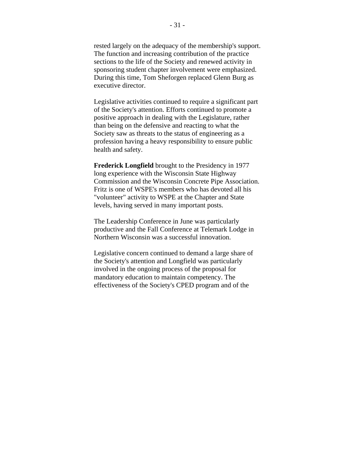rested largely on the adequacy of the membership's support. The function and increasing contribution of the practice sections to the life of the Society and renewed activity in sponsoring student chapter involvement were emphasized. During this time, Tom Sheforgen replaced Glenn Burg as executive director.

Legislative activities continued to require a significant part of the Society's attention. Efforts continued to promote a positive approach in dealing with the Legislature, rather than being on the defensive and reacting to what the Society saw as threats to the status of engineering as a profession having a heavy responsibility to ensure public health and safety.

**Frederick Longfield** brought to the Presidency in 1977 long experience with the Wisconsin State Highway Commission and the Wisconsin Concrete Pipe Association. Fritz is one of WSPE's members who has devoted all his "volunteer" activity to WSPE at the Chapter and State levels, having served in many important posts.

The Leadership Conference in June was particularly productive and the Fall Conference at Telemark Lodge in Northern Wisconsin was a successful innovation.

Legislative concern continued to demand a large share of the Society's attention and Longfield was particularly involved in the ongoing process of the proposal for mandatory education to maintain competency. The effectiveness of the Society's CPED program and of the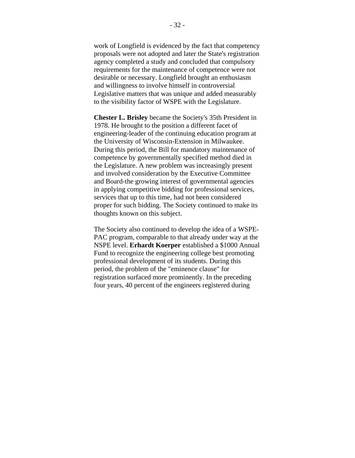work of Longfield is evidenced by the fact that competency proposals were not adopted and later the State's registration agency completed a study and concluded that compulsory requirements for the maintenance of competence were not desirable or necessary. Longfield brought an enthusiasm and willingness to involve himself in controversial Legislative matters that was unique and added measurably to the visibility factor of WSPE with the Legislature.

**Chester L. Brisley** became the Society's 35th President in 1978. He brought to the position a different facet of engineering-leader of the continuing education program at the University of Wisconsin-Extension in Milwaukee. During this period, the Bill for mandatory maintenance of competence by governmentally specified method died in the Legislature. A new problem was increasingly present and involved consideration by the Executive Committee and Board-the growing interest of governmental agencies in applying competitive bidding for professional services, services that up to this time, had not been considered proper for such bidding. The Society continued to make its thoughts known on this subject.

The Society also continued to develop the idea of a WSPE-PAC program, comparable to that already under way at the NSPE level. **Erhardt Koerper** established a \$1000 Annual Fund to recognize the engineering college best promoting professional development of its students. During this period, the problem of the "eminence clause" for registration surfaced more prominently. In the preceding four years, 40 percent of the engineers registered during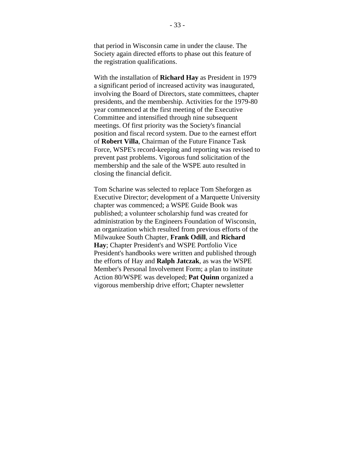that period in Wisconsin came in under the clause. The Society again directed efforts to phase out this feature of the registration qualifications.

With the installation of **Richard Hay** as President in 1979 a significant period of increased activity was inaugurated, involving the Board of Directors, state committees, chapter presidents, and the membership. Activities for the 1979-80 year commenced at the first meeting of the Executive Committee and intensified through nine subsequent meetings. Of first priority was the Society's financial position and fiscal record system. Due to the earnest effort of **Robert Villa**, Chairman of the Future Finance Task Force, WSPE's record-keeping and reporting was revised to prevent past problems. Vigorous fund solicitation of the membership and the sale of the WSPE auto resulted in closing the financial deficit.

Tom Scharine was selected to replace Tom Sheforgen as Executive Director; development of a Marquette University chapter was commenced; a WSPE Guide Book was published; a volunteer scholarship fund was created for administration by the Engineers Foundation of Wisconsin, an organization which resulted from previous efforts of the Milwaukee South Chapter, **Frank Odill**, and **Richard Hay**; Chapter President's and WSPE Portfolio Vice President's handbooks were written and published through the efforts of Hay and **Ralph Jatczak**, as was the WSPE Member's Personal Involvement Form; a plan to institute Action 80/WSPE was developed; **Pat Quinn** organized a vigorous membership drive effort; Chapter newsletter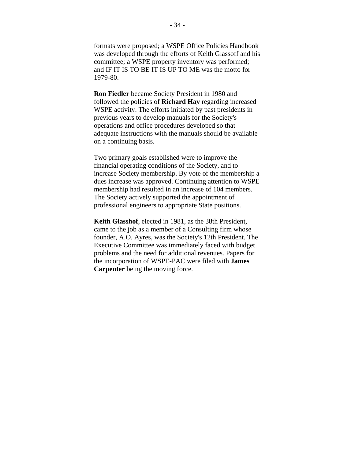formats were proposed; a WSPE Office Policies Handbook was developed through the efforts of Keith Glassoff and his committee; a WSPE property inventory was performed; and IF IT IS TO BE IT IS UP TO ME was the motto for 1979-80.

**Ron Fiedler** became Society President in 1980 and followed the policies of **Richard Hay** regarding increased WSPE activity. The efforts initiated by past presidents in previous years to develop manuals for the Society's operations and office procedures developed so that adequate instructions with the manuals should be available on a continuing basis.

Two primary goals established were to improve the financial operating conditions of the Society, and to increase Society membership. By vote of the membership a dues increase was approved. Continuing attention to WSPE membership had resulted in an increase of 104 members. The Society actively supported the appointment of professional engineers to appropriate State positions.

**Keith Glasshof**, elected in 1981, as the 38th President, came to the job as a member of a Consulting firm whose founder, A.O. Ayres, was the Society's 12th President. The Executive Committee was immediately faced with budget problems and the need for additional revenues. Papers for the incorporation of WSPE-PAC were filed with **James Carpenter** being the moving force.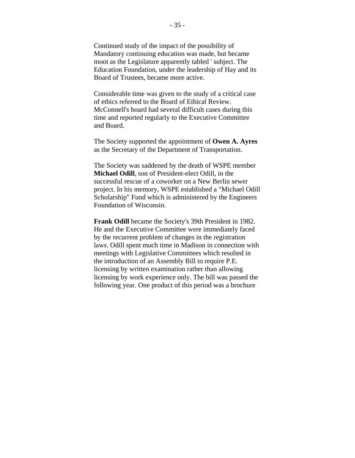Continued study of the impact of the possibility of Mandatory continuing education was made, but became moot as the Legislature apparently tabled ' subject. The Education Foundation, under the leadership of Hay and its Board of Trustees, became more active.

Considerable time was given to the study of a critical case of ethics referred to the Board of Ethical Review. McConnell's board had several difficult cases during this time and reported regularly to the Executive Committee and Board.

The Society supported the appointment of **Owen A. Ayres** as the Secretary of the Department of Transportation.

The Society was saddened by the death of WSPE member **Michael Odill**, son of President-elect Odill, in the successful rescue of a coworker on a New Berlin sewer project. In his memory, WSPE established a "Michael Odill Scholarship" Fund which is administered by the Engineers Foundation of Wisconsin.

**Frank Odill** became the Society's 39th President in 1982. He and the Executive Committee were immediately faced by the recurrent problem of changes in the registration laws. Odill spent much time in Madison in connection with meetings with Legislative Committees which resulted in the introduction of an Assembly Bill to require P.E. licensing by written examination rather than allowing licensing by work experience only. The bill was passed the following year. One product of this period was a brochure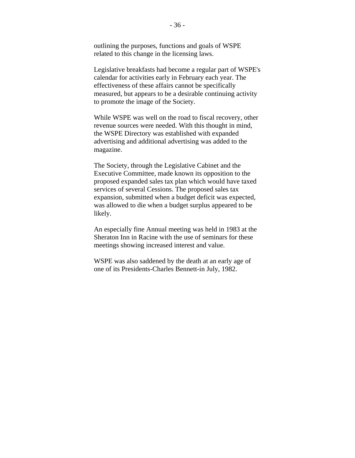outlining the purposes, functions and goals of WSPE related to this change in the licensing laws.

Legislative breakfasts had become a regular part of WSPE's calendar for activities early in February each year. The effectiveness of these affairs cannot be specifically measured, but appears to be a desirable continuing activity to promote the image of the Society.

While WSPE was well on the road to fiscal recovery, other revenue sources were needed. With this thought in mind, the WSPE Directory was established with expanded advertising and additional advertising was added to the magazine.

The Society, through the Legislative Cabinet and the Executive Committee, made known its opposition to the proposed expanded sales tax plan which would have taxed services of several Cessions. The proposed sales tax expansion, submitted when a budget deficit was expected, was allowed to die when a budget surplus appeared to be likely.

An especially fine Annual meeting was held in 1983 at the Sheraton Inn in Racine with the use of seminars for these meetings showing increased interest and value.

WSPE was also saddened by the death at an early age of one of its Presidents-Charles Bennett-in July, 1982.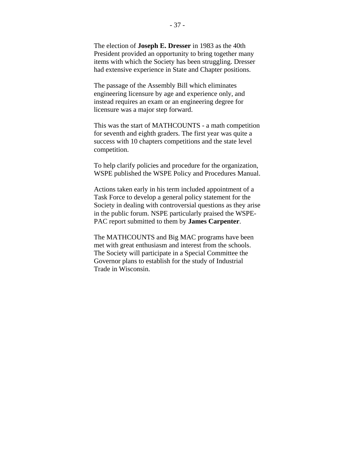The election of **Joseph E. Dresser** in 1983 as the 40th President provided an opportunity to bring together many items with which the Society has been struggling. Dresser had extensive experience in State and Chapter positions.

The passage of the Assembly Bill which eliminates engineering licensure by age and experience only, and instead requires an exam or an engineering degree for licensure was a major step forward.

This was the start of MATHCOUNTS - a math competition for seventh and eighth graders. The first year was quite a success with 10 chapters competitions and the state level competition.

To help clarify policies and procedure for the organization, WSPE published the WSPE Policy and Procedures Manual.

Actions taken early in his term included appointment of a Task Force to develop a general policy statement for the Society in dealing with controversial questions as they arise in the public forum. NSPE particularly praised the WSPE-PAC report submitted to them by **James Carpenter**.

The MATHCOUNTS and Big MAC programs have been met with great enthusiasm and interest from the schools. The Society will participate in a Special Committee the Governor plans to establish for the study of Industrial Trade in Wisconsin.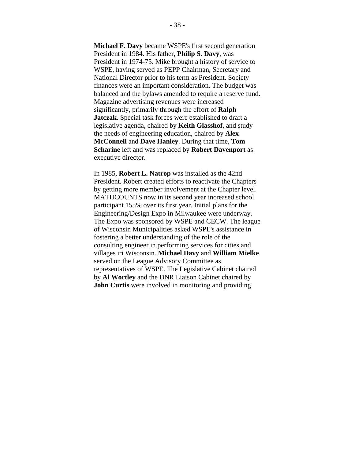**Michael F. Davy** became WSPE's first second generation President in 1984. His father, **Philip S. Davy**, was President in 1974-75. Mike brought a history of service to WSPE, having served as PEPP Chairman, Secretary and National Director prior to his term as President. Society finances were an important consideration. The budget was balanced and the bylaws amended to require a reserve fund. Magazine advertising revenues were increased significantly, primarily through the effort of **Ralph Jatczak**. Special task forces were established to draft a legislative agenda, chaired by **Keith Glasshof**, and study the needs of engineering education, chaired by **Alex McConnell** and **Dave Hanley**. During that time, **Tom Scharine** left and was replaced by **Robert Davenport** as executive director.

In 1985, **Robert L. Natrop** was installed as the 42nd President. Robert created efforts to reactivate the Chapters by getting more member involvement at the Chapter level. MATHCOUNTS now in its second year increased school participant 155% over its first year. Initial plans for the Engineering/Design Expo in Milwaukee were underway. The Expo was sponsored by WSPE and CECW. The league of Wisconsin Municipalities asked WSPE's assistance in fostering a better understanding of the role of the consulting engineer in performing services for cities and villages iri Wisconsin. **Michael Davy** and **William Mielke** served on the League Advisory Committee as representatives of WSPE. The Legislative Cabinet chaired by **Al Wortley** and the DNR Liaison Cabinet chaired by **John Curtis** were involved in monitoring and providing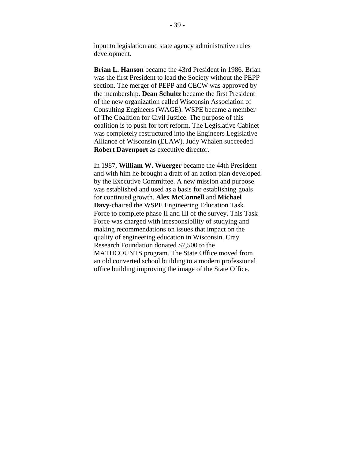input to legislation and state agency administrative rules development.

**Brian L. Hanson** became the 43rd President in 1986. Brian was the first President to lead the Society without the PEPP section. The merger of PEPP and CECW was approved by the membership. **Dean Schultz** became the first President of the new organization called Wisconsin Association of Consulting Engineers (WAGE). WSPE became a member of The Coalition for Civil Justice. The purpose of this coalition is to push for tort reform. The Legislative Cabinet was completely restructured into the Engineers Legislative Alliance of Wisconsin (ELAW). Judy Whalen succeeded **Robert Davenport** as executive director.

In 1987, **William W. Wuerger** became the 44th President and with him he brought a draft of an action plan developed by the Executive Committee. A new mission and purpose was established and used as a basis for establishing goals for continued growth. **Alex McConnell** and **Michael Davy**-chaired the WSPE Engineering Education Task Force to complete phase II and III of the survey. This Task Force was charged with irresponsibility of studying and making recommendations on issues that impact on the quality of engineering education in Wisconsin. Cray Research Foundation donated \$7,500 to the MATHCOUNTS program. The State Office moved from an old converted school building to a modern professional office building improving the image of the State Office.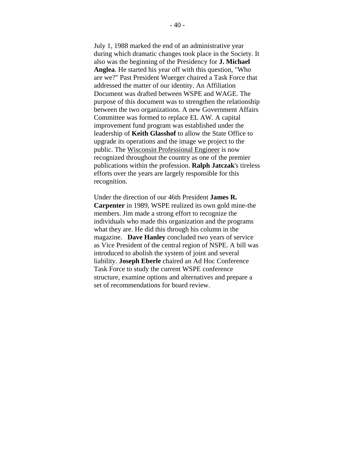July 1, 1988 marked the end of an administrative year during which dramatic changes took place in the Society. It also was the beginning of the Presidency for **J. Michael Anglea**. He started his year off with this question, "Who are we?" Past President Wuerger chaired a Task Force that addressed the matter of our identity. An Affiliation Document was drafted between WSPE and WAGE. The purpose of this document was to strengthen the relationship between the two organizations. A new Government Affairs Committee was formed to replace EL AW. A capital improvement fund program was established under the leadership of **Keith Glasshof** to allow the State Office to upgrade its operations and the image we project to the public. The Wisconsin Professional Engineer is now recognized throughout the country as one of the premier publications within the profession. **Ralph Jatczak**'s tireless efforts over the years are largely responsible for this recognition.

Under the direction of our 46th President **James R. Carpenter** in 1989, WSPE realized its own gold mine-the members. Jim made a strong effort to recognize the individuals who made this organization and the programs what they are. He did this through his column in the magazine. **Dave Hanley** concluded two years of service as Vice President of the central region of NSPE. A bill was introduced to abolish the system of joint and several liability. **Joseph Eberle** chaired an Ad Hoc Conference Task Force to study the current WSPE conference structure, examine options and alternatives and prepare a set of recommendations for board review.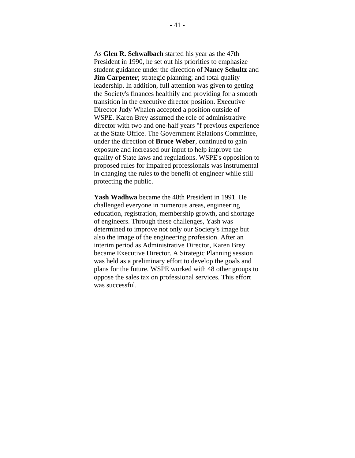As **Glen R. Schwalbach** started his year as the 47th President in 1990, he set out his priorities to emphasize student guidance under the direction of **Nancy Schultz** and **Jim Carpenter**; strategic planning; and total quality leadership. In addition, full attention was given to getting the Society's finances healthily and providing for a smooth transition in the executive director position. Executive Director Judy Whalen accepted a position outside of WSPE. Karen Brey assumed the role of administrative director with two and one-half years °f previous experience at the State Office. The Government Relations Committee, under the direction of **Bruce Weber**, continued to gain exposure and increased our input to help improve the quality of State laws and regulations. WSPE's opposition to proposed rules for impaired professionals was instrumental in changing the rules to the benefit of engineer while still protecting the public.

**Yash Wadhwa** became the 48th President in 1991. He challenged everyone in numerous areas, engineering education, registration, membership growth, and shortage of engineers. Through these challenges, Yash was determined to improve not only our Society's image but also the image of the engineering profession. After an interim period as Administrative Director, Karen Brey became Executive Director. A Strategic Planning session was held as a preliminary effort to develop the goals and plans for the future. WSPE worked with 48 other groups to oppose the sales tax on professional services. This effort was successful.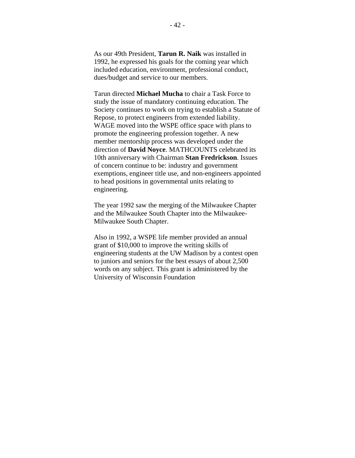As our 49th President, **Tarun R. Naik** was installed in 1992, he expressed his goals for the coming year which included education, environment, professional conduct, dues/budget and service to our members.

Tarun directed **Michael Mucha** to chair a Task Force to study the issue of mandatory continuing education. The Society continues to work on trying to establish a Statute of Repose, to protect engineers from extended liability. WAGE moved into the WSPE office space with plans to promote the engineering profession together. A new member mentorship process was developed under the direction of **David Noyce**. MATHCOUNTS celebrated its 10th anniversary with Chairman **Stan Fredrickson**. Issues of concern continue to be: industry and government exemptions, engineer title use, and non-engineers appointed to head positions in governmental units relating to engineering.

The year 1992 saw the merging of the Milwaukee Chapter and the Milwaukee South Chapter into the Milwaukee-Milwaukee South Chapter.

Also in 1992, a WSPE life member provided an annual grant of \$10,000 to improve the writing skills of engineering students at the UW Madison by a contest open to juniors and seniors for the best essays of about 2,500 words on any subject. This grant is administered by the University of Wisconsin Foundation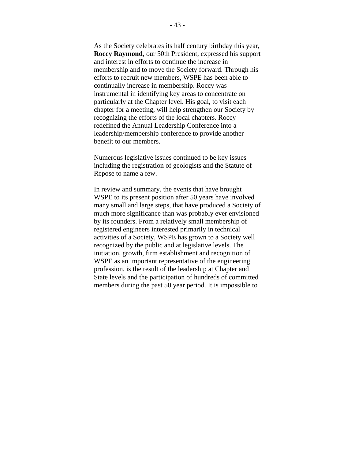As the Society celebrates its half century birthday this year, **Roccy Raymond**, our 50th President, expressed his support and interest in efforts to continue the increase in membership and to move the Society forward. Through his efforts to recruit new members, WSPE has been able to continually increase in membership. Roccy was instrumental in identifying key areas to concentrate on particularly at the Chapter level. His goal, to visit each chapter for a meeting, will help strengthen our Society by recognizing the efforts of the local chapters. Roccy redefined the Annual Leadership Conference into a leadership/membership conference to provide another benefit to our members.

Numerous legislative issues continued to be key issues including the registration of geologists and the Statute of Repose to name a few.

In review and summary, the events that have brought WSPE to its present position after 50 years have involved many small and large steps, that have produced a Society of much more significance than was probably ever envisioned by its founders. From a relatively small membership of registered engineers interested primarily in technical activities of a Society, WSPE has grown to a Society well recognized by the public and at legislative levels. The initiation, growth, firm establishment and recognition of WSPE as an important representative of the engineering profession, is the result of the leadership at Chapter and State levels and the participation of hundreds of committed members during the past 50 year period. It is impossible to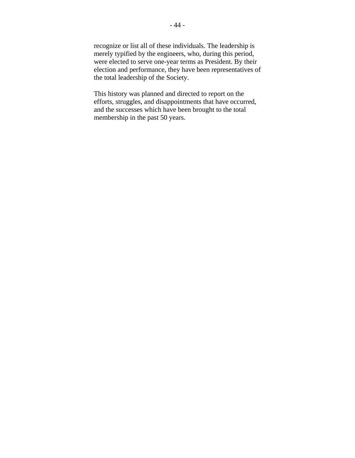recognize or list all of these individuals. The leadership is merely typified by the engineers, who, during this period, were elected to serve one-year terms as President. By their election and performance, they have been representatives of the total leadership of the Society.

This history was planned and directed to report on the efforts, struggles, and disappointments that have occurred, and the successes which have been brought to the total membership in the past 50 years.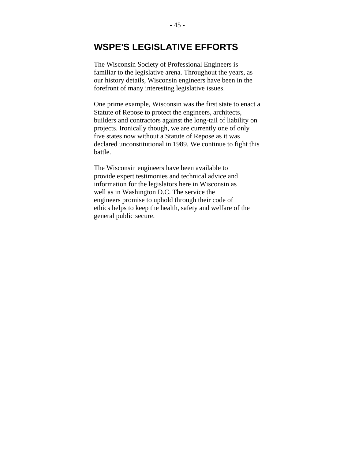## **WSPE'S LEGISLATIVE EFFORTS**

The Wisconsin Society of Professional Engineers is familiar to the legislative arena. Throughout the years, as our history details, Wisconsin engineers have been in the forefront of many interesting legislative issues.

One prime example, Wisconsin was the first state to enact a Statute of Repose to protect the engineers, architects, builders and contractors against the long-tail of liability on projects. Ironically though, we are currently one of only five states now without a Statute of Repose as it was declared unconstitutional in 1989. We continue to fight this battle.

The Wisconsin engineers have been available to provide expert testimonies and technical advice and information for the legislators here in Wisconsin as well as in Washington D.C. The service the engineers promise to uphold through their code of ethics helps to keep the health, safety and welfare of the general public secure.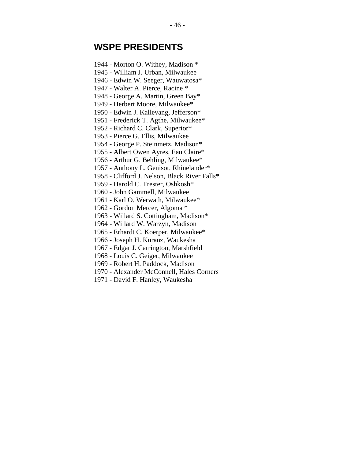## **WSPE PRESIDENTS**

- 1944 Morton O. Withey, Madison \*
- 1945 William J. Urban, Milwaukee
- 1946 Edwin W. Seeger, Wauwatosa\*
- 1947 Walter A. Pierce, Racine \*
- 1948 George A. Martin, Green Bay\*
- 1949 Herbert Moore, Milwaukee\*
- 1950 Edwin J. Kallevang, Jefferson\*
- 1951 Frederick T. Agthe, Milwaukee\*
- 1952 Richard C. Clark, Superior\*
- 1953 Pierce G. Ellis, Milwaukee
- 1954 George P. Steinmetz, Madison\*
- 1955 Albert Owen Ayres, Eau Claire\*
- 1956 Arthur G. Behling, Milwaukee\*
- 1957 Anthony L. Genisot, Rhinelander\*
- 1958 Clifford J. Nelson, Black River Falls\*
- 1959 Harold C. Trester, Oshkosh\*
- 1960 John Gammell, Milwaukee
- 1961 Karl O. Werwath, Milwaukee\*
- 1962 Gordon Mercer, Algoma \*
- 1963 Willard S. Cottingham, Madison\*
- 1964 Willard W. Warzyn, Madison
- 1965 Erhardt C. Koerper, Milwaukee\*
- 1966 Joseph H. Kuranz, Waukesha
- 1967 Edgar J. Carrington, Marshfield
- 1968 Louis C. Geiger, Milwaukee
- 1969 Robert H. Paddock, Madison
- 1970 Alexander McConnell, Hales Corners
- 1971 David F. Hanley, Waukesha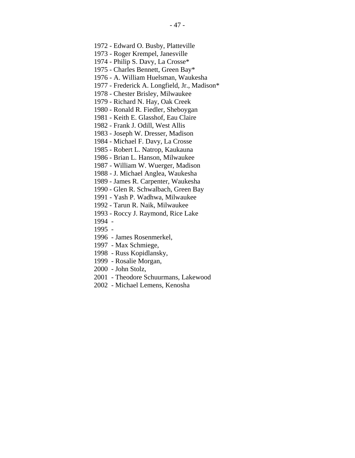- 1973 Roger Krempel, Janesville
- 1974 Philip S. Davy, La Crosse\*
- 1975 Charles Bennett, Green Bay\*
- 1976 A. William Huelsman, Waukesha
- 1977 Frederick A. Longfield, Jr., Madison\*
- 1978 Chester Brisley, Milwaukee
- 1979 Richard N. Hay, Oak Creek
- 1980 Ronald R. Fiedler, Sheboygan
- 1981 Keith E. Glasshof, Eau Claire
- 1982 Frank J. Odill, West Allis
- 1983 Joseph W. Dresser, Madison
- 1984 Michael F. Davy, La Crosse
- 1985 Robert L. Natrop, Kaukauna
- 1986 Brian L. Hanson, Milwaukee
- 1987 William W. Wuerger, Madison
- 1988 J. Michael Anglea, Waukesha
- 1989 James R. Carpenter, Waukesha
- 1990 Glen R. Schwalbach, Green Bay
- 1991 Yash P. Wadhwa, Milwaukee
- 1992 Tarun R. Naik, Milwaukee
- 1993 Roccy J. Raymond, Rice Lake
- 1994 -
- 1995 -
- 1996 James Rosenmerkel,
- 1997 Max Schmiege,
- 1998 Russ Kopidlansky,
- 1999 Rosalie Morgan,
- 2000 John Stolz,
- 2001 Theodore Schuurmans, Lakewood
- 2002 Michael Lemens, Kenosha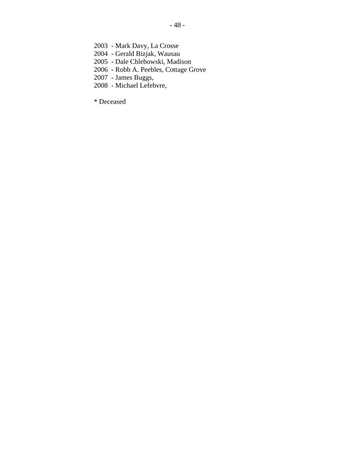- 2003 Mark Davy, La Crosse
- 2004 Gerald Bizjak, Wausau
- 2005 Dale Chlebowski, Madison
- 2006 Robb A. Peebles, Cottage Grove
- 2007 James Buggs,
- 2008 Michael Lefebvre,

\* Deceased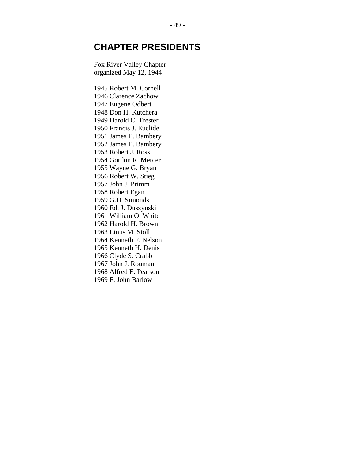## **CHAPTER PRESIDENTS**

Fox River Valley Chapter organized May 12, 1944

1945 Robert M. Cornell 1946 Clarence Zachow 1947 Eugene Odbert 1948 Don H. Kutchera 1949 Harold C. Trester 1950 Francis J. Euclide 1951 James E. Bambery 1952 James E. Bambery 1953 Robert J. Ross 1954 Gordon R. Mercer 1955 Wayne G. Bryan 1956 Robert W. Stieg 1957 John J. Primm 1958 Robert Egan 1959 G.D. Simonds 1960 Ed. J. Duszynski 1961 William O. White 1962 Harold H. Brown 1963 Linus M. Stoll 1964 Kenneth F. Nelson 1965 Kenneth H. Denis 1966 Clyde S. Crabb 1967 John J. Rouman 1968 Alfred E. Pearson 1969 F. John Barlow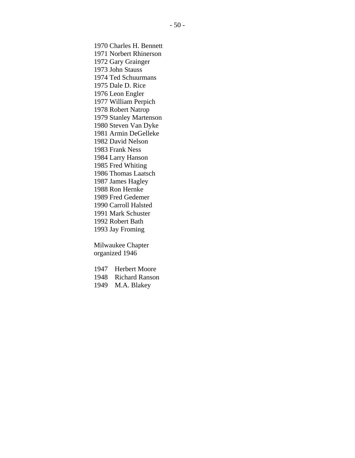1970 Charles H. Bennett 1971 Norbert Rhinerson 1972 Gary Grainger 1973 John Stauss 1974 Ted Schuurmans 1975 Dale D. Rice 1976 Leon Engler 1977 William Perpich 1978 Robert Natrop 1979 Stanley Martenson 1980 Steven Van Dyke 1981 Armin DeGelleke 1982 David Nelson 1983 Frank Ness 1984 Larry Hanson 1985 Fred Whiting 1986 Thomas Laatsch 1987 James Hagley 1988 Ron Hernke 1989 Fred Gedemer 1990 Carroll Halsted 1991 Mark Schuster 1992 Robert Bath 1993 Jay Froming

Milwaukee Chapter organized 1946

1947 Herbert Moore 1948 Richard Ranson 1949 M.A. Blakey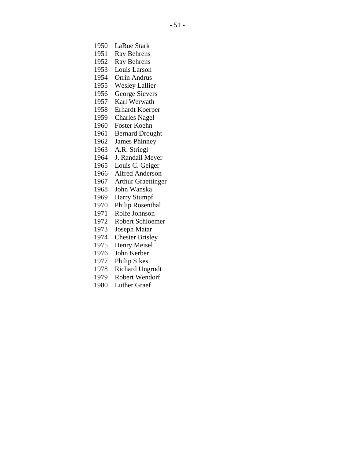- 1950 LaRue Stark
- 1951 Ray Behrens
- 1952 Ray Behrens
- 1953 Louis Larson 1954 Orrin Andrus
- 1955 Wesley Lallier
- 1956 George Sievers
- 1957 Karl Werwath
- 1958 Erhardt Koerper
- 1959 Charles Nagel
- 1960 Foster Koehn
- 1961 Bernard Drought
- 
- 1962 James Phinney 1963 A.R. Striegl
- 1964 J. Randall Meyer
- 1965 Louis C. Geiger
- 1966 Alfred Anderson
- 1967 Arthur Graettinger
- 
- 1968 John Wanska
- 1969 Harry Stumpf
- 1970 Philip Rosenthal 1971 Rolfe Johnson
- 
- 1972 Robert Schloemer
- 1973 Joseph Matar
- 1974 Chester Brisley
- 1975 Henry Meisel
- 1976 John Kerber
- 1977 Philip Sikes
- 1978 Richard Ungrodt
- 1979 Robert Wendorf
- 1980 Luther Graef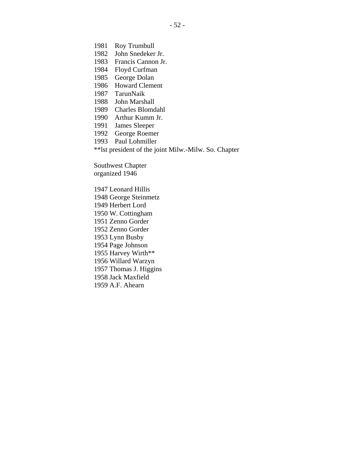- 1981 Roy Trumbull
- 1982 John Snedeker Jr.
- 1983 Francis Cannon Jr.
- 1984 Floyd Curfman
- 1985 George Dolan
- 1986 Howard Clement
- 1987 TarunNaik
- 1988 John Marshall
- 1989 Charles Blomdahl
- 1990 Arthur Kumm Jr.
- 1991 James Sleeper
- 1992 George Roemer
- 1993 Paul Lohmiller
- \*\*lst president of the joint Milw.-Milw. So. Chapter

Southwest Chapter organized 1946

1947 Leonard Hillis 1948 George Steinmetz 1949 Herbert Lord 1950 W. Cottingham 1951 Zenno Gorder 1952 Zenno Gorder 1953 Lynn Busby 1954 Page Johnson 1955 Harvey Wirth\*\* 1956 Willard Warzyn 1957 Thomas J. Higgins 1958 Jack Maxfield 1959 A.F. Ahearn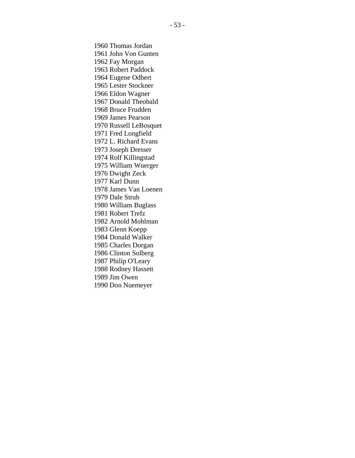1960 Thomas Jordan 1961 John Von Gunten 1962 Fay Morgan 1963 Robert Paddock 1964 Eugene Odbert 1965 Lester Stockner 1966 Eldon Wagner 1967 Donald Theobald 1968 Bruce Frudden 1969 James Pearson 1970 Russell LeBosquet 1971 Fred Longfield 1972 L. Richard Evans 1973 Joseph Dresser 1974 Rolf Killingstad 1975 William Wuerger 1976 Dwight Zeck 1977 Karl Dunn 1978 James Van Loenen 1979 Dale Strub 1980 William Buglass 1981 Robert Trefz 1982 Arnold Mohlman 1983 Glenn Koepp 1984 Donald Walker 1985 Charles Dorgan 1986 Clinton Solberg 1987 Philip O'Leary 1988 Rodney Hassett 1989 Jim Owen 1990 Don Nuemeyer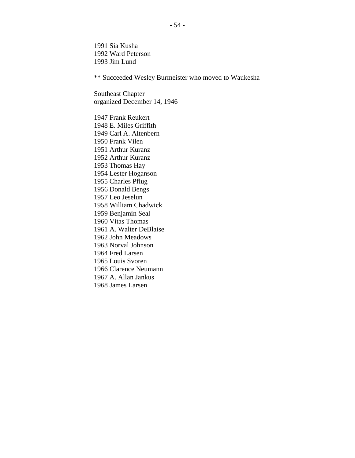1991 Sia Kusha 1992 Ward Peterson 1993 Jim Lund

\*\* Succeeded Wesley Burmeister who moved to Waukesha

Southeast Chapter organized December 14, 1946

1947 Frank Reukert 1948 E. Miles Griffith 1949 Carl A. Altenbern 1950 Frank Vilen 1951 Arthur Kuranz 1952 Arthur Kuranz 1953 Thomas Hay 1954 Lester Hoganson 1955 Charles Pflug 1956 Donald Bengs 1957 Leo Jeselun 1958 William Chadwick 1959 Benjamin Seal 1960 Vitas Thomas 1961 A. Walter DeBlaise 1962 John Meadows 1963 Norval Johnson 1964 Fred Larsen 1965 Louis Svoren 1966 Clarence Neumann 1967 A. Allan Jankus 1968 James Larsen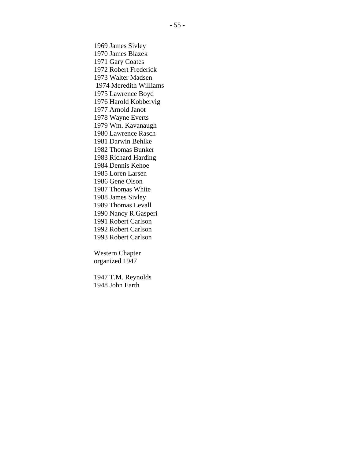1969 James Sivley 1970 James Blazek 1971 Gary Coates 1972 Robert Frederick 1973 Walter Madsen 1974 Meredith Williams 1975 Lawrence Boyd 1976 Harold Kobbervig 1977 Arnold Janot 1978 Wayne Everts 1979 Wm. Kavanaugh 1980 Lawrence Rasch 1981 Darwin Behlke 1982 Thomas Bunker 1983 Richard Harding 1984 Dennis Kehoe 1985 Loren Larsen 1986 Gene Olson 1987 Thomas White 1988 James Sivley 1989 Thomas Levall 1990 Nancy R.Gasperi 1991 Robert Carlson 1992 Robert Carlson 1993 Robert Carlson

Western Chapter organized 1947

1947 T.M. Reynolds 1948 John Earth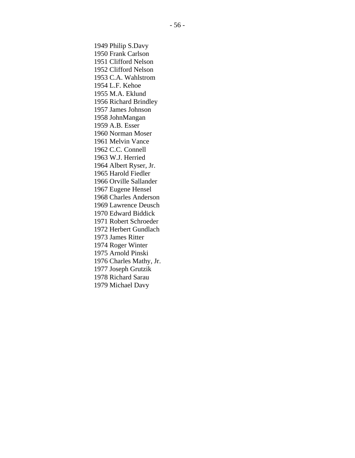1949 Philip S.Davy 1950 Frank Carlson 1951 Clifford Nelson 1952 Clifford Nelson 1953 C.A. Wahlstrom 1954 L.F. Kehoe 1955 M.A. Eklund 1956 Richard Brindley 1957 James Johnson 1958 JohnMangan 1959 A.B. Esser 1960 Norman Moser 1961 Melvin Vance 1962 C.C. Connell 1963 W.J. Herried 1964 Albert Ryser, Jr. 1965 Harold Fiedler 1966 Orville Sallander 1967 Eugene Hensel 1968 Charles Anderson 1969 Lawrence Deusch 1970 Edward Biddick 1971 Robert Schroeder 1972 Herbert Gundlach 1973 James Ritter 1974 Roger Winter 1975 Arnold Pinski 1976 Charles Mathy, Jr. 1977 Joseph Grutzik 1978 Richard Sarau 1979 Michael Davy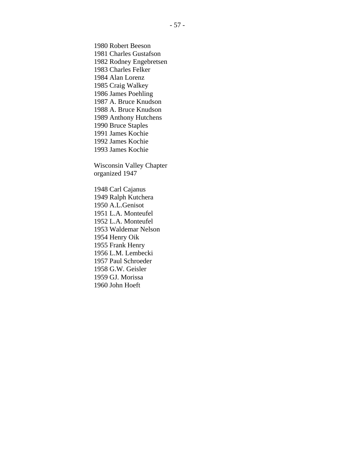1980 Robert Beeson 1981 Charles Gustafson 1982 Rodney Engebretsen 1983 Charles Felker 1984 Alan Lorenz 1985 Craig Walkey 1986 James Poehling 1987 A. Bruce Knudson 1988 A. Bruce Knudson 1989 Anthony Hutchens 1990 Bruce Staples 1991 James Kochie 1992 James Kochie 1993 James Kochie Wisconsin Valley Chapter organized 1947 1948 Carl Cajanus 1949 Ralph Kutchera 1950 A.L.Genisot 1951 L.A. Monteufel

1952 L.A. Monteufel 1953 Waldemar Nelson

1954 Henry Oik 1955 Frank Henry 1956 L.M. Lembecki 1957 Paul Schroeder 1958 G.W. Geisler 1959 GJ. Morissa 1960 John Hoeft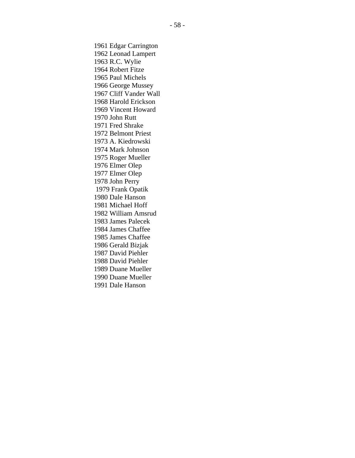1961 Edgar Carrington 1962 Leonad Lampert 1963 R.C. Wylie 1964 Robert Fitze 1965 Paul Michels 1966 George Mussey 1967 Cliff Vander Wall 1968 Harold Erickson 1969 Vincent Howard 1970 John Rutt 1971 Fred Shrake 1972 Belmont Priest 1973 A. Kiedrowski 1974 Mark Johnson 1975 Roger Mueller 1976 Elmer Olep 1977 Elmer Olep 1978 John Perry 1979 Frank Opatik 1980 Dale Hanson 1981 Michael Hoff 1982 William Amsrud 1983 James Palecek 1984 James Chaffee 1985 James Chaffee 1986 Gerald Bizjak 1987 David Piehler 1988 David Piehler 1989 Duane Mueller 1990 Duane Mueller 1991 Dale Hanson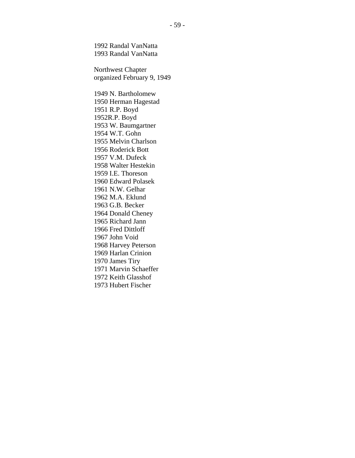1992 Randal VanNatta 1993 Randal VanNatta

Northwest Chapter organized February 9, 1949

1949 N. Bartholomew 1950 Herman Hagestad 1951 R.P. Boyd 1952R.P. Boyd 1953 W. Baumgartner 1954 W.T. Gohn 1955 Melvin Charlson 1956 Roderick Bott 1957 V.M. Dufeck 1958 Walter Hestekin 1959 I.E. Thoreson 1960 Edward Polasek 1961 N.W. Gelhar 1962 M.A. Eklund 1963 G.B. Becker 1964 Donald Cheney 1965 Richard Jann 1966 Fred Dittloff 1967 John Void 1968 Harvey Peterson 1969 Harlan Crinion 1970 James Tiry 1971 Marvin Schaeffer 1972 Keith Glasshof 1973 Hubert Fischer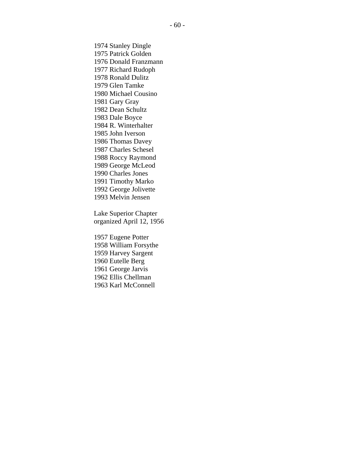1974 Stanley Dingle 1975 Patrick Golden 1976 Donald Franzmann 1977 Richard Rudoph 1978 Ronald Dulitz 1979 Glen Tamke 1980 Michael Cousino 1981 Gary Gray 1982 Dean Schultz 1983 Dale Boyce 1984 R. Winterhalter 1985 John Iverson 1986 Thomas Davey 1987 Charles Schesel 1988 Roccy Raymond 1989 George McLeod 1990 Charles Jones 1991 Timothy Marko 1992 George Jolivette 1993 Melvin Jensen Lake Superior Chapter

organized April 12, 1956

1957 Eugene Potter 1958 William Forsythe 1959 Harvey Sargent 1960 Eutelle Berg 1961 George Jarvis 1962 Ellis Chellman 1963 Karl McConnell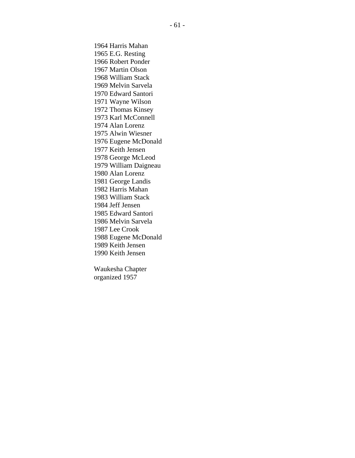1964 Harris Mahan 1965 E.G. Resting 1966 Robert Ponder 1967 Martin Olson 1968 William Stack 1969 Melvin Sarvela 1970 Edward Santori 1971 Wayne Wilson 1972 Thomas Kinsey 1973 Karl McConnell 1974 Alan Lorenz 1975 Alwin Wiesner 1976 Eugene McDonald 1977 Keith Jensen 1978 George McLeod 1979 William Daigneau 1980 Alan Lorenz 1981 George Landis 1982 Harris Mahan 1983 William Stack 1984 Jeff Jensen 1985 Edward Santori 1986 Melvin Sarvela 1987 Lee Crook 1988 Eugene McDonald 1989 Keith Jensen 1990 Keith Jensen

Waukesha Chapter organized 1957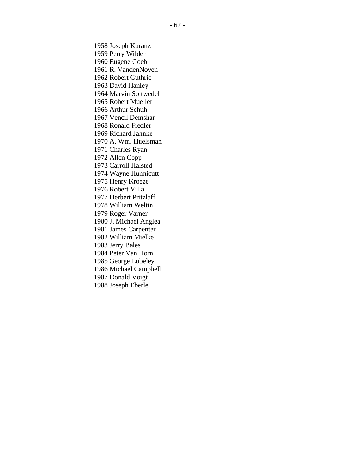1958 Joseph Kuranz 1959 Perry Wilder 1960 Eugene Goeb 1961 R. VandenNoven 1962 Robert Guthrie 1963 David Hanley 1964 Marvin Soltwedel 1965 Robert Mueller 1966 Arthur Schuh 1967 Vencil Demshar 1968 Ronald Fiedler 1969 Richard Jahnke 1970 A. Wm. Huelsman 1971 Charles Ryan 1972 Allen Copp 1973 Carroll Halsted 1974 Wayne Hunnicutt 1975 Henry Kroeze 1976 Robert Villa 1977 Herbert Pritzlaff 1978 William Weltin 1979 Roger Varner 1980 J. Michael Anglea 1981 James Carpenter 1982 William Mielke 1983 Jerry Bales 1984 Peter Van Horn 1985 George Lubeley 1986 Michael Campbell 1987 Donald Voigt 1988 Joseph Eberle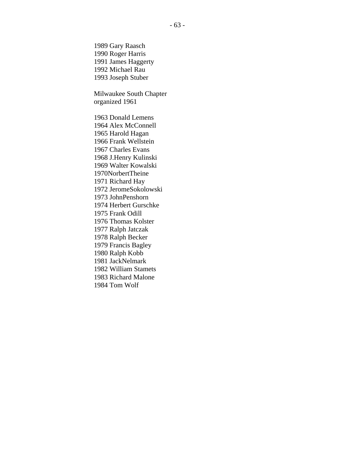1989 Gary Raasch 1990 Roger Harris 1991 James Haggerty 1992 Michael Rau 1993 Joseph Stuber

Milwaukee South Chapter organized 1961

1963 Donald Lemens 1964 Alex McConnell 1965 Harold Hagan 1966 Frank Wellstein 1967 Charles Evans 1968 J.Henry Kulinski 1969 Walter Kowalski 1970NorbertTheine 1971 Richard Hay 1972 JeromeSokolowski 1973 JohnPenshorn 1974 Herbert Gurschke 1975 Frank Odill 1976 Thomas Kolster 1977 Ralph Jatczak 1978 Ralph Becker 1979 Francis Bagley 1980 Ralph Kobb 1981 JackNelmark 1982 William Stamets 1983 Richard Malone 1984 Tom Wolf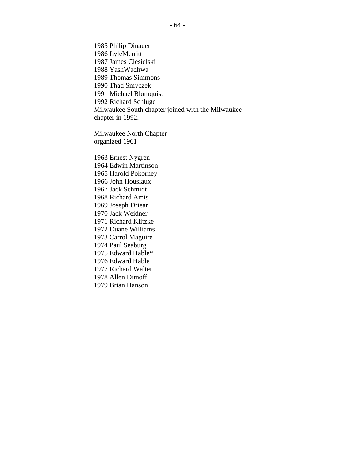1985 Philip Dinauer 1986 LyleMerritt 1987 James Ciesielski 1988 YashWadhwa 1989 Thomas Simmons 1990 Thad Smyczek 1991 Michael Blomquist 1992 Richard Schluge Milwaukee South chapter joined with the Milwaukee chapter in 1992.

Milwaukee North Chapter organized 1961

1963 Ernest Nygren 1964 Edwin Martinson 1965 Harold Pokorney 1966 John Housiaux 1967 Jack Schmidt 1968 Richard Amis 1969 Joseph Driear 1970 Jack Weidner 1971 Richard Klitzke 1972 Duane Williams 1973 Carrol Maguire 1974 Paul Seaburg 1975 Edward Hable\* 1976 Edward Hable 1977 Richard Walter 1978 Allen Dimoff 1979 Brian Hanson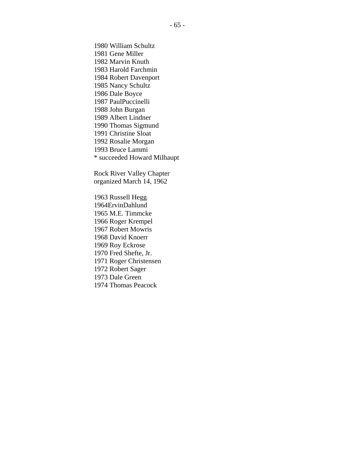1980 William Schultz 1981 Gene Miller 1982 Marvin Knuth 1983 Harold Farchmin 1984 Robert Davenport 1985 Nancy Schultz 1986 Dale Boyce 1987 PaulPuccinelli 1988 John Burgan 1989 Albert Lindner 1990 Thomas Sigmund 1991 Christine Sloat 1992 Rosalie Morgan 1993 Bruce Lammi \* succeeded Howard Milhaupt

Rock River Valley Chapter organized March 14, 1962

1963 Russell Hegg 1964ErvinDahlund 1965 M.E. Timmcke 1966 Roger Krempel 1967 Robert Mowris 1968 David Knoerr 1969 Roy Eckrose 1970 Fred Shefte, Jr. 1971 Roger Christensen 1972 Robert Sager 1973 Dale Green 1974 Thomas Peacock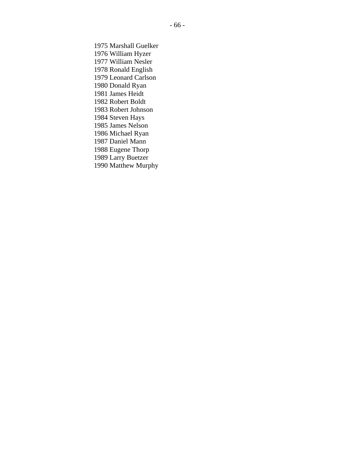1975 Marshall Guelker 1976 William Hyzer 1977 William Nesler 1978 Ronald English 1979 Leonard Carlson 1980 Donald Ryan 1981 James Heidt 1982 Robert Boldt 1983 Robert Johnson 1984 Steven Hays 1985 James Nelson 1986 Michael Ryan 1987 Daniel Mann 1988 Eugene Thorp 1989 Larry Buetzer 1990 Matthew Murphy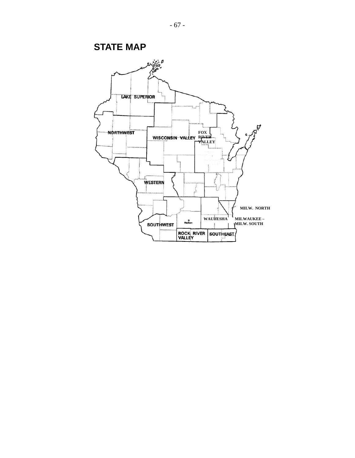**STATE MAP** 

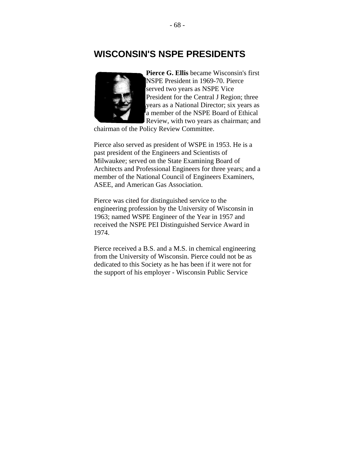## **WISCONSIN'S NSPE PRESIDENTS**



**Pierce G. Ellis** became Wisconsin's first NSPE President in 1969-70. Pierce served two years as NSPE Vice President for the Central J Region; three years as a National Director; six years as a member of the NSPE Board of Ethical Review, with two years as chairman; and

chairman of the Policy Review Committee.

Pierce also served as president of WSPE in 1953. He is a past president of the Engineers and Scientists of Milwaukee; served on the State Examining Board of Architects and Professional Engineers for three years; and a member of the National Council of Engineers Examiners, ASEE, and American Gas Association.

Pierce was cited for distinguished service to the engineering profession by the University of Wisconsin in 1963; named WSPE Engineer of the Year in 1957 and received the NSPE PEI Distinguished Service Award in 1974.

Pierce received a B.S. and a M.S. in chemical engineering from the University of Wisconsin. Pierce could not be as dedicated to this Society as he has been if it were not for the support of his employer - Wisconsin Public Service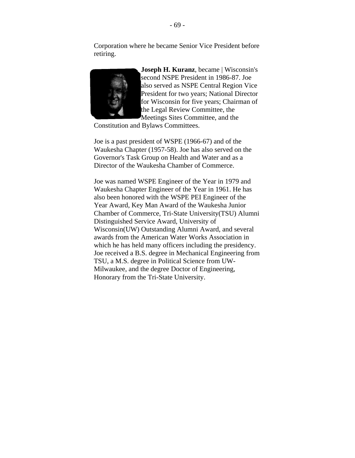Corporation where he became Senior Vice President before retiring.



**Joseph H. Kuranz**, became | Wisconsin's second NSPE President in 1986-87. Joe also served as NSPE Central Region Vice President for two years; National Director for Wisconsin for five years; Chairman of the Legal Review Committee, the Meetings Sites Committee, and the

Constitution and Bylaws Committees.

Joe is a past president of WSPE (1966-67) and of the Waukesha Chapter (1957-58). Joe has also served on the Governor's Task Group on Health and Water and as a Director of the Waukesha Chamber of Commerce.

Joe was named WSPE Engineer of the Year in 1979 and Waukesha Chapter Engineer of the Year in 1961. He has also been honored with the WSPE PEI Engineer of the Year Award, Key Man Award of the Waukesha Junior Chamber of Commerce, Tri-State University(TSU) Alumni Distinguished Service Award, University of Wisconsin(UW) Outstanding Alumni Award, and several awards from the American Water Works Association in which he has held many officers including the presidency. Joe received a B.S. degree in Mechanical Engineering from TSU, a M.S. degree in Political Science from UW-Milwaukee, and the degree Doctor of Engineering, Honorary from the Tri-State University.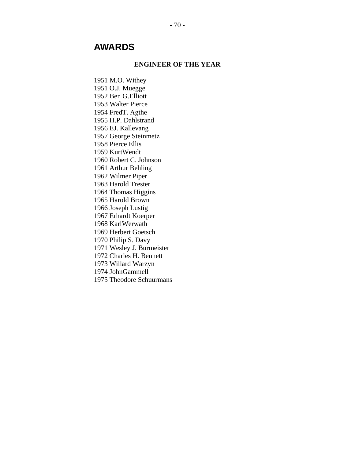# **AWARDS**

#### **ENGINEER OF THE YEAR**

1951 M.O. Withey 1951 O.J. Muegge 1952 Ben G.Elliott 1953 Walter Pierce 1954 FredT. Agthe 1955 H.P. Dahlstrand 1956 EJ. Kallevang 1957 George Steinmetz 1958 Pierce Ellis 1959 KurtWendt 1960 Robert C. Johnson 1961 Arthur Behling 1962 Wilmer Piper 1963 Harold Trester 1964 Thomas Higgins 1965 Harold Brown 1966 Joseph Lustig 1967 Erhardt Koerper 1968 KarlWerwath 1969 Herbert Goetsch 1970 Philip S. Davy 1971 Wesley J. Burmeister 1972 Charles H. Bennett 1973 Willard Warzyn 1974 JohnGammell 1975 Theodore Schuurmans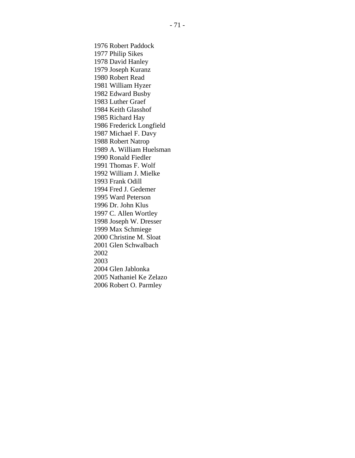1976 Robert Paddock 1977 Philip Sikes 1978 David Hanley 1979 Joseph Kuranz 1980 Robert Read 1981 William Hyzer 1982 Edward Busby 1983 Luther Graef 1984 Keith Glasshof 1985 Richard Hay 1986 Frederick Longfield 1987 Michael F. Davy 1988 Robert Natrop 1989 A. William Huelsman 1990 Ronald Fiedler 1991 Thomas F. Wolf 1992 William J. Mielke 1993 Frank Odill 1994 Fred J. Gedemer 1995 Ward Peterson 1996 Dr. John Klus 1997 C. Allen Wortley 1998 Joseph W. Dresser 1999 Max Schmiege 2000 Christine M. Sloat 2001 Glen Schwalbach 2002 2003 2004 Glen Jablonka 2005 Nathaniel Ke Zelazo 2006 Robert O. Parmley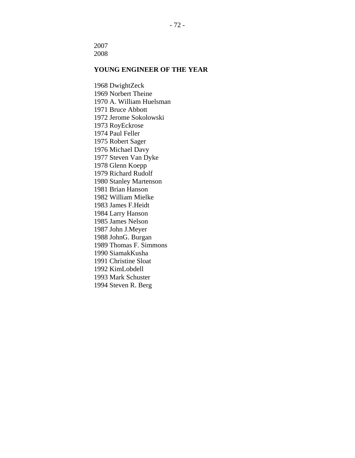2007 2008

#### **YOUNG ENGINEER OF THE YEAR**

1968 DwightZeck 1969 Norbert Theine 1970 A. William Huelsman 1971 Bruce Abbott 1972 Jerome Sokolowski 1973 RoyEckrose 1974 Paul Feller 1975 Robert Sager 1976 Michael Davy 1977 Steven Van Dyke 1978 Glenn Koepp 1979 Richard Rudolf 1980 Stanley Martenson 1981 Brian Hanson 1982 William Mielke 1983 James F.Heidt 1984 Larry Hanson 1985 James Nelson 1987 John J.Meyer 1988 JohnG. Burgan 1989 Thomas F. Simmons 1990 SiamakKusha 1991 Christine Sloat 1992 KimLobdell 1993 Mark Schuster 1994 Steven R. Berg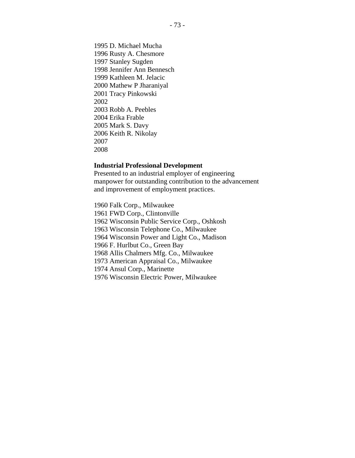1995 D. Michael Mucha 1996 Rusty A. Chesmore 1997 Stanley Sugden 1998 Jennifer Ann Bennesch 1999 Kathleen M. Jelacic 2000 Mathew P Jharaniyal 2001 Tracy Pinkowski 2002 2003 Robb A. Peebles 2004 Erika Frable 2005 Mark S. Davy 2006 Keith R. Nikolay 2007 2008

#### **Industrial Professional Development**

Presented to an industrial employer of engineering manpower for outstanding contribution to the advancement and improvement of employment practices.

1960 Falk Corp., Milwaukee 1961 FWD Corp., Clintonville 1962 Wisconsin Public Service Corp., Oshkosh 1963 Wisconsin Telephone Co., Milwaukee 1964 Wisconsin Power and Light Co., Madison 1966 F. Hurlbut Co., Green Bay 1968 Allis Chalmers Mfg. Co., Milwaukee 1973 American Appraisal Co., Milwaukee 1974 Ansul Corp., Marinette 1976 Wisconsin Electric Power, Milwaukee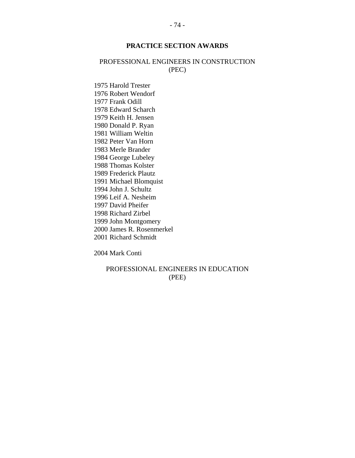### **PRACTICE SECTION AWARDS**

### PROFESSIONAL ENGINEERS IN CONSTRUCTION (PEC)

1975 Harold Trester 1976 Robert Wendorf 1977 Frank Odill 1978 Edward Scharch 1979 Keith H. Jensen 1980 Donald P. Ryan 1981 William Weltin 1982 Peter Van Horn 1983 Merle Brander 1984 George Lubeley 1988 Thomas Kolster 1989 Frederick Plautz 1991 Michael Blomquist 1994 John J. Schultz 1996 Leif A. Nesheim 1997 David Pheifer 1998 Richard Zirbel 1999 John Montgomery 2000 James R. Rosenmerkel 2001 Richard Schmidt

2004 Mark Conti

#### PROFESSIONAL ENGINEERS IN EDUCATION (PEE)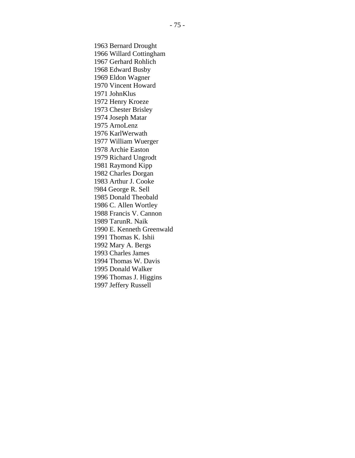1963 Bernard Drought 1966 Willard Cottingham 1967 Gerhard Rohlich 1968 Edward Busby 1969 Eldon Wagner 1970 Vincent Howard 1971 JohnKlus 1972 Henry Kroeze 1973 Chester Brisley 1974 Joseph Matar 1975 ArnoLenz 1976 KarlWerwath 1977 William Wuerger 1978 Archie Easton 1979 Richard Ungrodt 1981 Raymond Kipp 1982 Charles Dorgan 1983 Arthur J. Cooke !984 George R. Sell 1985 Donald Theobald 1986 C. Allen Wortley 1988 Francis V. Cannon 1989 TarunR. Naik 1990 E. Kenneth Greenwald 1991 Thomas K. Ishii 1992 Mary A. Bergs 1993 Charles James 1994 Thomas W. Davis 1995 Donald Walker 1996 Thomas J. Higgins 1997 Jeffery Russell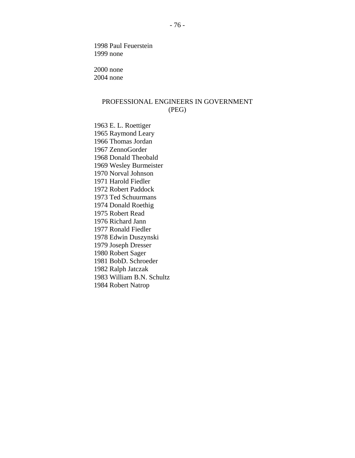1998 Paul Feuerstein 1999 none

2000 none 2004 none

## PROFESSIONAL ENGINEERS IN GOVERNMENT (PEG)

1963 E. L. Roettiger 1965 Raymond Leary 1966 Thomas Jordan 1967 ZennoGorder 1968 Donald Theobald 1969 Wesley Burmeister 1970 Norval Johnson 1971 Harold Fiedler 1972 Robert Paddock 1973 Ted Schuurmans 1974 Donald Roethig 1975 Robert Read 1976 Richard Jann 1977 Ronald Fiedler 1978 Edwin Duszynski 1979 Joseph Dresser 1980 Robert Sager 1981 BobD. Schroeder 1982 Ralph Jatczak 1983 William B.N. Schultz 1984 Robert Natrop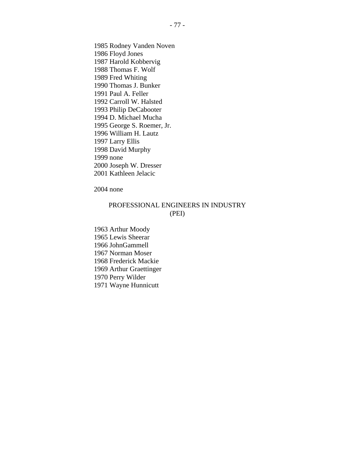1985 Rodney Vanden Noven 1986 Floyd Jones 1987 Harold Kobbervig 1988 Thomas F. Wolf 1989 Fred Whiting 1990 Thomas J. Bunker 1991 Paul A. Feller 1992 Carroll W. Halsted 1993 Philip DeCabooter 1994 D. Michael Mucha 1995 George S. Roemer, Jr. 1996 William H. Lautz 1997 Larry Ellis 1998 David Murphy 1999 none 2000 Joseph W. Dresser 2001 Kathleen Jelacic

2004 none

### PROFESSIONAL ENGINEERS IN INDUSTRY (PEI)

1963 Arthur Moody 1965 Lewis Sheerar 1966 JohnGammell 1967 Norman Moser 1968 Frederick Mackie 1969 Arthur Graettinger 1970 Perry Wilder 1971 Wayne Hunnicutt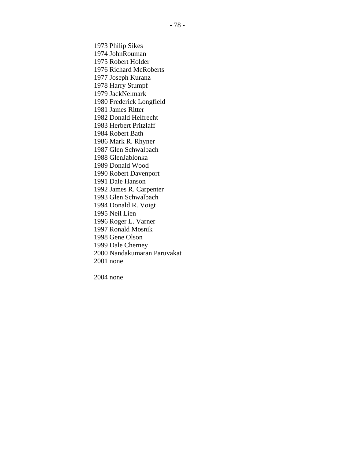1973 Philip Sikes 1974 JohnRouman 1975 Robert Holder 1976 Richard McRoberts 1977 Joseph Kuranz 1978 Harry Stumpf 1979 JackNelmark 1980 Frederick Longfield 1981 James Ritter 1982 Donald Helfrecht 1983 Herbert Pritzlaff 1984 Robert Bath 1986 Mark R. Rhyner 1987 Glen Schwalbach 1988 GlenJablonka 1989 Donald Wood 1990 Robert Davenport 1991 Dale Hanson 1992 James R. Carpenter 1993 Glen Schwalbach 1994 Donald R. Voigt 1995 Neil Lien 1996 Roger L. Varner 1997 Ronald Mosnik 1998 Gene Olson 1999 Dale Cherney 2000 Nandakumaran Paruvakat 2001 none

2004 none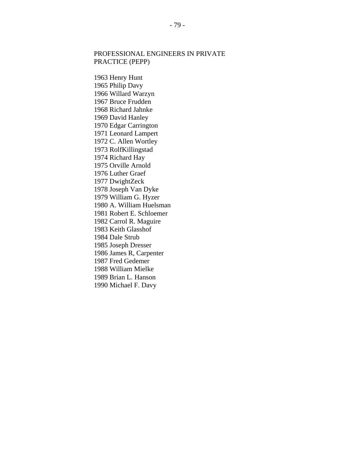### PROFESSIONAL ENGINEERS IN PRIVATE PRACTICE (PEPP)

1963 Henry Hunt 1965 Philip Davy 1966 Willard Warzyn 1967 Bruce Frudden 1968 Richard Jahnke 1969 David Hanley 1970 Edgar Carrington 1971 Leonard Lampert 1972 C. Allen Wortley 1973 RolfKillingstad 1974 Richard Hay 1975 Orville Arnold 1976 Luther Graef 1977 DwightZeck 1978 Joseph Van Dyke 1979 William G. Hyzer 1980 A. William Huelsman 1981 Robert E. Schloemer 1982 Carrol R. Maguire 1983 Keith Glasshof 1984 Dale Strub 1985 Joseph Dresser 1986 James R, Carpenter 1987 Fred Gedemer 1988 William Mielke 1989 Brian L. Hanson 1990 Michael F. Davy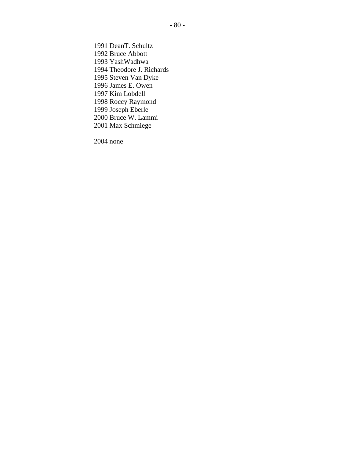1991 DeanT. Schultz 1992 Bruce Abbott 1993 YashWadhwa 1994 Theodore J. Richards 1995 Steven Van Dyke 1996 James E. Owen 1997 Kim Lobdell 1998 Roccy Raymond 1999 Joseph Eberle 2000 Bruce W. Lammi 2001 Max Schmiege

2004 none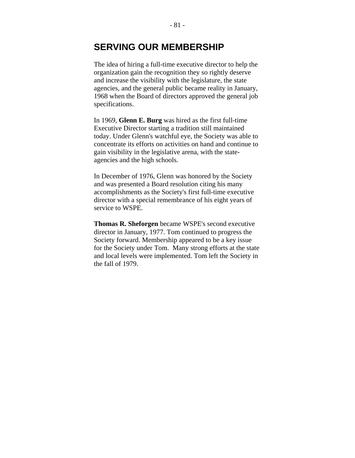## **SERVING OUR MEMBERSHIP**

The idea of hiring a full-time executive director to help the organization gain the recognition they so rightly deserve and increase the visibility with the legislature, the state agencies, and the general public became reality in January, 1968 when the Board of directors approved the general job specifications.

In 1969, **Glenn E. Burg** was hired as the first full-time Executive Director starting a tradition still maintained today. Under Glenn's watchful eye, the Society was able to concentrate its efforts on activities on hand and continue to gain visibility in the legislative arena, with the stateagencies and the high schools.

In December of 1976, Glenn was honored by the Society and was presented a Board resolution citing his many accomplishments as the Society's first full-time executive director with a special remembrance of his eight years of service to WSPE.

**Thomas R. Sheforgen** became WSPE's second executive director in January, 1977. Tom continued to progress the Society forward. Membership appeared to be a key issue for the Society under Tom. Many strong efforts at the state and local levels were implemented. Tom left the Society in the fall of 1979.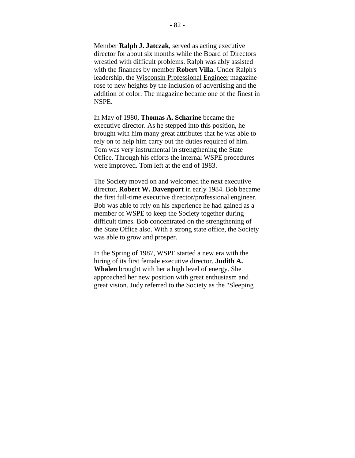Member **Ralph J. Jatczak**, served as acting executive director for about six months while the Board of Directors wrestled with difficult problems. Ralph was ably assisted with the finances by member **Robert Villa**. Under Ralph's leadership, the Wisconsin Professional Engineer magazine rose to new heights by the inclusion of advertising and the addition of color. The magazine became one of the finest in NSPE.

In May of 1980, **Thomas A. Scharine** became the executive director. As he stepped into this position, he brought with him many great attributes that he was able to rely on to help him carry out the duties required of him. Tom was very instrumental in strengthening the State Office. Through his efforts the internal WSPE procedures were improved. Tom left at the end of 1983.

The Society moved on and welcomed the next executive director, **Robert W. Davenport** in early 1984. Bob became the first full-time executive director/professional engineer. Bob was able to rely on his experience he had gained as a member of WSPE to keep the Society together during difficult times. Bob concentrated on the strengthening of the State Office also. With a strong state office, the Society was able to grow and prosper.

In the Spring of 1987, WSPE started a new era with the hiring of its first female executive director. **Judith A. Whalen** brought with her a high level of energy. She approached her new position with great enthusiasm and great vision. Judy referred to the Society as the "Sleeping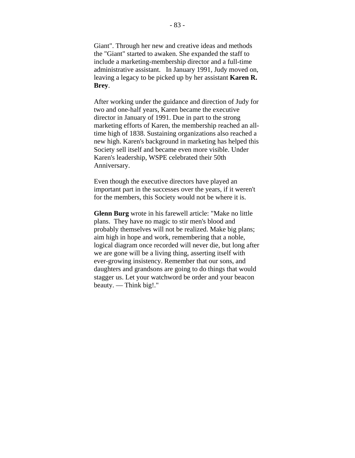Giant". Through her new and creative ideas and methods the "Giant" started to awaken. She expanded the staff to include a marketing-membership director and a full-time administrative assistant. In January 1991, Judy moved on, leaving a legacy to be picked up by her assistant **Karen R. Brey**.

After working under the guidance and direction of Judy for two and one-half years, Karen became the executive director in January of 1991. Due in part to the strong marketing efforts of Karen, the membership reached an alltime high of 1838. Sustaining organizations also reached a new high. Karen's background in marketing has helped this Society sell itself and became even more visible. Under Karen's leadership, WSPE celebrated their 50th Anniversary.

Even though the executive directors have played an important part in the successes over the years, if it weren't for the members, this Society would not be where it is.

**Glenn Burg** wrote in his farewell article: "Make no little plans. They have no magic to stir men's blood and probably themselves will not be realized. Make big plans; aim high in hope and work, remembering that a noble, logical diagram once recorded will never die, but long after we are gone will be a living thing, asserting itself with ever-growing insistency. Remember that our sons, and daughters and grandsons are going to do things that would stagger us. Let your watchword be order and your beacon beauty. — Think big!."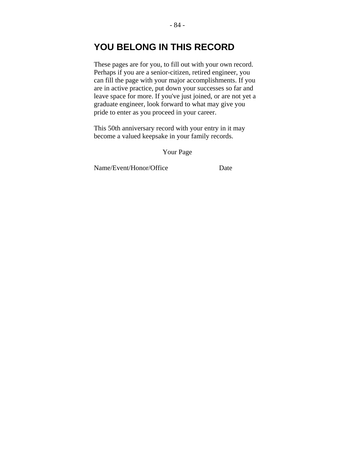# **YOU BELONG IN THIS RECORD**

These pages are for you, to fill out with your own record. Perhaps if you are a senior-citizen, retired engineer, you can fill the page with your major accomplishments. If you are in active practice, put down your successes so far and leave space for more. If you've just joined, or are not yet a graduate engineer, look forward to what may give you pride to enter as you proceed in your career.

This 50th anniversary record with your entry in it may become a valued keepsake in your family records.

Your Page

Name/Event/Honor/Office Date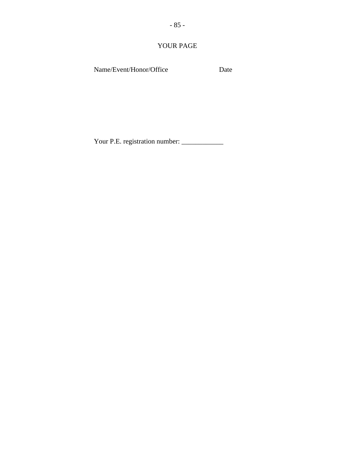YOUR PAGE

Name/Event/Honor/Office Date

Your P.E. registration number: \_\_\_\_\_\_\_\_\_\_\_\_\_\_